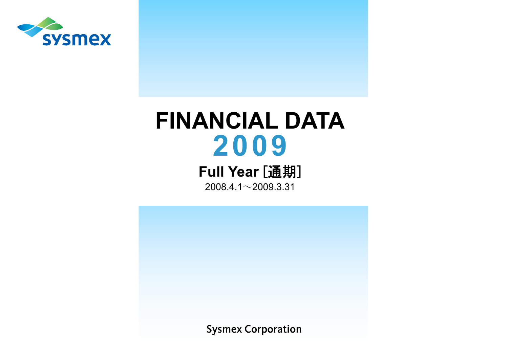

# **FINANCIAL DATA 2009**

**Full Year [通期]** 

 $2008.4.1 \sim 2009.3.31$ 

**Sysmex Corporation**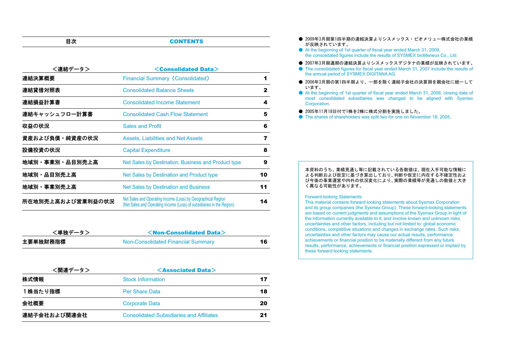#### 日次 **CONTENTS**

| <連結データ>           | $<$ Consolidated Data $>$                                                                                                             |    |
|-------------------|---------------------------------------------------------------------------------------------------------------------------------------|----|
| 連結決算概要            | <b>Financial Summary (Consolidated)</b>                                                                                               | 1  |
| 連結貸借対照表           | <b>Consolidated Balance Sheets</b>                                                                                                    | 2  |
| 連結損益計算書           | <b>Consolidated Income Statement</b>                                                                                                  | 4  |
| 連結キャッシュフロー計算書     | <b>Consolidated Cash Flow Statement</b>                                                                                               | 5  |
| 収益の状況             | <b>Sales and Profit</b>                                                                                                               | 6  |
| 資産および負債・純資産の状況    | <b>Assets, Liabilities and Net Assets</b>                                                                                             | 7  |
| 設備投資の状況           | <b>Capital Expenditure</b>                                                                                                            | 8  |
| 地域別・事業別・品目別売上高    | Net Sales by Destination, Business and Product type                                                                                   | 9  |
| 地域別・品目別売上高        | Net Sales by Destination and Product type                                                                                             | 10 |
| 地域別・事業別売上高        | <b>Net Sales by Destination and Business</b>                                                                                          | 11 |
| 所在地別売上高および営業利益の状況 | Net Sales and Operating Income (Loss) by Geographical Region<br>(Net Sales and Operating Income (Loss) of subsidiaries in the Region) | 14 |

| <単独データ>  | $\leq$ Non-Consolidated Data $\geq$ |    |
|----------|-------------------------------------|----|
| 主要単独財務指標 | Non-Consolidated Financial Summary  | 16 |

| <関連データ>      | $\leq$ Associated Data $>$                      |    |
|--------------|-------------------------------------------------|----|
| 株式情報         | <b>Stock Information</b>                        | 17 |
| 1株当たり指標      | <b>Per Share Data</b>                           | 18 |
| 会社概要         | <b>Corporate Data</b>                           | 20 |
| 連結子会社および関連会社 | <b>Consolidated Subsidiaries and Affiliates</b> | 21 |

- 2009年3月期第1四半期の連結決算よりシスメックス・ビオメリュ一株式会社の業績 が反映されています。
- At the beginning of 1st quarter of fiscal year ended March 31, 2009, the consolidated figures include the results of SYSMEX bioMerieux Co., Ltd.
- 2007年3月期通期の連結決算よりシスメックスデジタナの業績が反映されています。
- ٨ The consolidated figures for fiscal year ended March 31, 2007 include the results of the annual period of SYSMEX DIGITANA AG.
- 2006年3月期の第1四半期より、一部を除く連結子会社の決算期を親会社に統一して います。
- ٨ At the beginning of 1st quarter of fiscal year ended March 31, 2006, closing date of most consolidated subsidiaries was changed to be aligned with Sysmex Corporation.
- 2005年11月18日付で1株を2株に株式分割を実施しました。
- ٨ The shares of shareholders was split two for one on November 18, 2005.

#### 本資料のうち、業績見通し等に記載されている各数値は、現在入手可能な情報に よる判断および仮定に基づき算出しており、判断や仮定に内在する不確定性およ び今後の事業運営や内外の状況変化により、実際の業績等が見通しの数値と大き く異なる可能性があります。

#### Forward-looking Statements

This material contains forward-looking statements about Sysmex Corporation and its group companies (the Sysmex Group). These forward-looking statements are based on current judgments and assumptions of the Sysmex Group in light of the information currently available to it, and involve known and unknown risks, uncertainties and other factors, including but not limited to: global economic conditions, competitive situations and changes in exchange rates. Such risks, uncertainties and other factors may cause our actual results, performance, achievements or financial position to be materially different from any future results, performance, achievements or financial position expressed or implied by these forward-looking statements.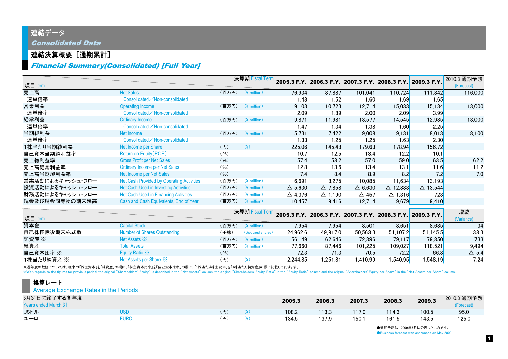## 連結データ Consolidated Data

### 連結決算概要 [通期累計]

## Financial Summary(Consolidated) [Full Year]

| 項目 Item          |                                           |       | 決算期 Fiscal Tern       |                   | 2005.3 F.Y. 2006.3 F.Y. 2007.3 F.Y. 2008.3 F.Y. 2009.3 F.Y. |                |                    |                    | 2010.3 通期予想<br>(Forecast) |
|------------------|-------------------------------------------|-------|-----------------------|-------------------|-------------------------------------------------------------|----------------|--------------------|--------------------|---------------------------|
| 売上高              | <b>Net Sales</b>                          | (百万円) | $(*$ million)         | 76,934            | 87,887                                                      | 101,041        | 110,724            | 111.842            | 116,000                   |
| 連単倍率             | Consolidated / Non-consolidated           |       |                       | 1.48              | 1.52                                                        | 1.60           | 1.69               | 1.65               |                           |
| 営業利益             | <b>Operating Income</b>                   | (百万円) | $(*$ million)         | 9,103             | 10,723                                                      | 12,714         | 15,033             | 15,134             | 13,000                    |
| 連単倍率             | Consolidated / Non-consolidated           |       |                       | 2.09              | 1.89                                                        | 2.00           | 2.09               | 3.99               |                           |
| 経常利益             | <b>Ordinary Income</b>                    | (百万円) | $(*$ million)         | 9,871             | 11,981                                                      | 13.577         | 14,545             | 12,985             | 13,000                    |
| 連単倍率             | Consolidated / Non-consolidated           |       |                       | 1.47              | 1.34                                                        | 1.38           | 1.60               | 2.25               |                           |
| 当期純利益            | Net Income                                | (百万円) | $(*$ million)         | 5,731             | 7,422                                                       | 9,008          | 9,131              | 8,013              | 8,100                     |
| 連単倍率             | Consolidated / Non-consolidated           |       |                       | 1.33              | 1.25                                                        | 1.25           | 1.63               | 2.30               |                           |
| 1株当たり当期純利益       | Net Income per Share                      | (H)   | $(\cfrac{\gamma}{2})$ | 225.06            | 145.48                                                      | 179.63         | 178.94             | 156.72             |                           |
| 自己資本当期純利益率       | Return on Equity [ROE]                    | (96)  |                       | 10.7              | 12.5                                                        | 13.4           | 12.2               | 10.1               |                           |
| 売上総利益率           | <b>Gross Profit per Net Sales</b>         | (96)  |                       | 57.4              | 58.2                                                        | 57.0           | 59.0               | 63.5               | 62.2                      |
| 売上高経常利益率         | <b>Ordinary Income per Net Sales</b>      | (96)  |                       | 12.8              | 13.6                                                        | 13.4           | 13.1               | 11.6               | 11.2                      |
| 売上高当期純利益率        | Net Income per Net Sales                  | (96)  |                       | 7.4               | 8.4                                                         | 8.9            | 8.2                | 7.2                | 7.0                       |
| 営業活動によるキャッシュ・フロー | Net Cash Provided by Operating Activities | (百万円) | $(*)$ million)        | 6,691             | 8,275                                                       | 10,085         | 11,634             | 13,193             |                           |
| 投資活動によるキャッシュ・フロー | Net Cash Used in Investing Activities     | (百万円) | $(*$ million)         | $\triangle$ 5,630 | $\Delta$ 7,858                                              | $\Delta$ 6,630 | $\triangle$ 12,883 | $\triangle$ 13,544 |                           |
| 財務活動によるキャッシュ・フロー | Net Cash Used in Financing Activities     | (百万円) | $(*$ million)         | $\triangle$ 4,376 | $\triangle$ 1,190                                           | △ 457          | $\triangle$ 1,316  | 723                |                           |
| 現金及び現金同等物の期末残高   | Cash and Cash Equivalents, End of Year    | (百万円) | $(*$ million)         | 10,457            | 9,416                                                       | 12,714         | 9,679              | 9,410              |                           |
| 項目 Item          |                                           |       | 決算期 Fiscal Tern       |                   | 2005.3 F.Y. 2006.3 F.Y. 2007.3 F.Y. 2008.3 F.Y. 2009.3 F.Y. |                |                    |                    | 増減<br>(Variance)          |
| 資本金              | <b>Capital Stock</b>                      | (百万円) | $(*$ million)         | 7,954             | 7,954                                                       | 8,501          | 8,651              | 8,685              | 34                        |
| 自己株控除後期末株式数      | <b>Number of Shares Outstanding</b>       | (千株)  | (thousand shares)     | 24,962.6          | 49,917.0                                                    | 50,563.3       | 51,107.2           | 51,145.5           | 38.3                      |
| 純資産 ※            | Net Assets $\mathbb{\times}$              | (百万円) | $(*$ million)         | 56,149            | 62,646                                                      | 72,396         | 79,117             | 79,850             | 733                       |
| 総資産              | <b>Total Assets</b>                       | (百万円) | $(*$ million)         | 77,660            | 87,446                                                      | 101,225        | 109,027            | 118,521            | 9,494                     |
| 自己資本比率 ※         | Equity Ratio X                            | (96)  |                       | 72.3              | 71.3                                                        | 70.5           | 72.2               | 66.8               | $\triangle$ 5.4           |
| 1株当たり純資産 ※       | Net Assets per Share $\mathbb{\times}$    | (H)   | $(\cfrac{\gamma}{2})$ | 2,244.85          | 1,251.81                                                    | ,410.99        | ,540.95            | ,548.19            | 7.24                      |

※過年度の数値については、従来の「株主資本」を/[御]く「株主資本比率」を「自己資本比率」の欄に、「1株当たり株主資本」を「1株当たり純資産」の欄に記載しております。

With regards to the figures for previous period, the original "Shareholders' Equity" is described in the "Net Assets" column, the original "Shareholders' Equity Ratio" in the "Equity Ratio" column and the original "Shareho

#### 換算レート

**Average Exchange Rates in the Periods** 

| 3月31日に終了する各年度 |      |     | 2005.3 | 2006.3 | 2007.3 | 2008.3 | 2009.3 | 2010.3 通期予想<br>(Forecast, |
|---------------|------|-----|--------|--------|--------|--------|--------|---------------------------|
| USドル          | USD  | (円) | 108.2  | 113.3  | 117.0  | 114.3  | 100.5  | 95.0                      |
| ユーロ           | EURC | "円, | 134.5  | 137.9  | 150.7  | 161.5  | 143.5  | 125.0                     |

●通期予想は、2009年5月に公表したものです。 ● Business forecast was announced on May 2009.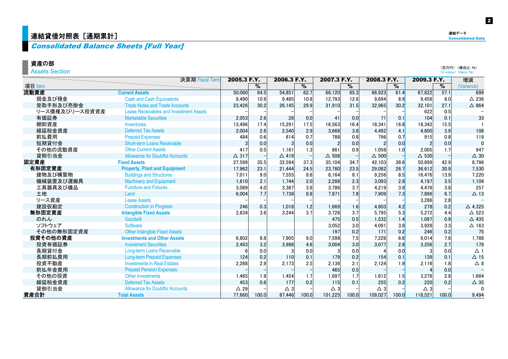## │連結貸借対照表[通期累計]  $\blacksquare$   $\blacksquare$   $\blacksquare$   $\blacksquare$   $\blacksquare$   $\blacksquare$   $\blacksquare$   $\blacksquare$   $\blacksquare$   $\blacksquare$   $\blacksquare$   $\blacksquare$   $\blacksquare$   $\blacksquare$   $\blacksquare$   $\blacksquare$   $\blacksquare$   $\blacksquare$   $\blacksquare$   $\blacksquare$   $\blacksquare$   $\blacksquare$   $\blacksquare$   $\blacksquare$   $\blacksquare$   $\blacksquare$   $\blacksquare$   $\blacksquare$   $\blacksquare$

## Consolidated Balance Sheets [Full Year]

#### 資産の部

Assets Section

|                | 決算期 Fiscal Term                                | 2005.3 F.Y.  |               | 2006.3 F.Y.     |               | 2007.3 F.Y.     |               | 2008.3 F.Y.     |       | 2009.3 F.Y.   |                          | 増減              |  |
|----------------|------------------------------------------------|--------------|---------------|-----------------|---------------|-----------------|---------------|-----------------|-------|---------------|--------------------------|-----------------|--|
| 項目 Item        |                                                |              | $\frac{9}{6}$ |                 | $\frac{9}{6}$ |                 | $\frac{1}{2}$ |                 | %     |               | $\overline{\frac{9}{6}}$ | (Variance)      |  |
| 流動資産           | <b>Current Assets</b>                          | 50,060       | 64.5          | 54.851          | 62.7          | 66,120          | 65.3          | 66.923          | 61.4  | 67,622        | 57.1                     | 699             |  |
| 現金及び預金         | <b>Cash and Cash Equivalents</b>               | 8,490        | 10.9          | 9,485           | 10.8          | 12,793          | 12.6          | 9.694           | 8.9   | 9,458         | 8.0                      | $\triangle$ 236 |  |
| 受取手形及び売掛金      | <b>Trade Notes and Trade Accounts</b>          | 23,426       | 30.2          | 26,145          | 29.9          | 31,910          | 31.5          | 32,965          | 30.2  | 32,101        | 27.1                     | $\triangle$ 864 |  |
| リース債権及びリース投資資産 | <b>Lease Receivables and Investment Assets</b> |              |               |                 |               |                 |               |                 |       | 622           | 0.5                      |                 |  |
| 有価証券           | <b>Marketable Securities</b>                   | 2,053        | 2.6           | 28              | 0.0           | 4 <sup>1</sup>  | 0.0           | 71              | 0.1   | 104           | 0.1                      | 33              |  |
| 棚卸資産           | Inventories                                    | 13,496       | 17.4          | 15,291          | 17.5          | 16,563          | 16.4          | 18.341          | 16.8  | 18,342        | 15.5                     |                 |  |
| 繰延税金資産         | <b>Deferred Tax Assets</b>                     | 2,004        | 2.6           | 2,540           | 2.9           | 3,668           | 3.6           | 4,492           | 4.1   | 4,600         | 3.9                      | 108             |  |
| 前払費用           | <b>Prepaid Expenses</b>                        | 484          | 0.6           | 614             | 0.7           | 788             | 0.8           | 796             | 0.7   | 915           | 0.8                      | 119             |  |
| 短期貸付金          | <b>Short-term Loans Receivable</b>             |              | 0.0           |                 | 0.0           |                 | 0.0           |                 | 0.0   |               | 0.0                      | $\mathbf 0$     |  |
| その他の流動資産       | <b>Other Current Assets</b>                    | 417          | 0.5           | 1.161           | 1.3           | 861             | 0.9           | 1.058           | 1.0   | 2.005         | 1.7                      | 947             |  |
| 貸倒引当金          | <b>Allowance for Doubtful Accounts</b>         | $\Delta$ 317 |               | $\triangle$ 419 |               | $\triangle$ 508 |               | $\triangle$ 500 |       | $\Delta$ 530  |                          | $\triangle$ 30  |  |
| 固定資産           | <b>Fixed Assets</b>                            | 27,599       | 35.5          | 32,594          | 37.3          | 35,104          | 34.7          | 42,103          | 38.6  | 50,899        | 42.9                     | 8,796           |  |
| 有形固定資産         | <b>Property, Plant and Equipment</b>           | 17,962       | 23.1          | 21,444          | 24.5          | 23,780          | 23.5          | 29,082          | 26.7  | 36,612        | 30.9                     | 7,530           |  |
| 建物及び構築物        | <b>Buildings and Structures</b>                | 7,011        | 9.0           | 7.555           | 8.6           | 8.164           | 8.1           | 9.256           | 8.5   | 16.476        | 13.9                     | 7,220           |  |
| 機械装置及び運搬具      | <b>Machinery and Equipment</b>                 | 1,610        | 2.1           | 1.744           | 2.0           | 2,288           | 2.3           | 3.093           | 2.8   | 4,197         | 3.5                      | 1,104           |  |
| 工具器具及び備品       | <b>Furniture and Fixtures</b>                  | 3,089        | 4.0           | 3,387           | 3.9           | 3.786           | 3.7           | 4,219           | 3.9   | 4,476         | 3.8                      | 257             |  |
| 土地             | Land                                           | 6,004        | 7.7           | 7,738           | 8.8           | 7,871           | 7.8           | 7,909           | 7.3   | 7,896         | 6.7                      | $\Delta$ 13     |  |
| リース資産          | <b>Lease Assets</b>                            |              |               |                 |               |                 |               |                 |       | 3,286         | 2.8                      |                 |  |
| 建設仮勘定          | <b>Construction in Progress</b>                | 246          | 0.3           | 1.018           | 1.2           | 1.669           | 1.6           | 4.603           | 4.2   | 278           | 0.2                      | $\Delta$ 4,325  |  |
| 無形固定資産         | <b>Intangible Fixed Assets</b>                 | 2.834        | 3.6           | 3.244           | 3.7           | 3,726           | 3.7           | 5.795           | 5.3   | 5,272         | 4.4                      | $\triangle$ 523 |  |
| のれん            | Goodwill                                       |              |               |                 |               | 475             | 0.5           | 1.532           | 1.4   | 1,097         | 0.9                      | △ 435           |  |
| ソフトウェア         | <b>Software</b>                                |              |               |                 |               | 3,052           | 3.0           | 4,091           | 3.8   | 3,928         | 3.3                      | $\Delta$ 163    |  |
| その他の無形固定資産     | <b>Other Intangible Fixed Assets</b>           |              |               |                 |               | 197             | 0.2           | 171             | 0.2   | 246           | 0.2                      | 75              |  |
| 投資その他の資産       | <b>Investments and Other Assets</b>            | 6,802        | 8.8           | 7.905           | 9.0           | 7.598           | 7.5           | 7.226           | 6.6   | 9.014         | 7.6                      | 1,788           |  |
| 投資有価証券         | <b>Investment Securities</b>                   | 2,493        | 3.2           | 3.988           | 4.6           | 3,004           | 3.0           | 3,077           | 2.8   | 3,256         | 2.7                      | 179             |  |
| 長期貸付金          | Long-term Loans Receivable                     |              | 0.0           |                 | 0.0           |                 | 0.0           |                 | 0.0   |               | 0.0                      | $\Delta$ 1      |  |
| 長期前払費用         | <b>Long-term Prepaid Expenses</b>              | 124          | 0.2           | 110             | 0.1           | 179             | 0.2           | 154             | 0.1   | 139           | 0.1                      | $\Delta$ 15     |  |
| 投資不動産          | <b>Investments in Real Estates</b>             | 2,288        | 2.9           | 2,173           | 2.5           | 2,136           | 2.1           | 2,124           | 1.9   | 2,116         | 1.8                      | $\triangle$ 8   |  |
| 前払年金費用         | <b>Prepaid Pension Expenses</b>                |              |               |                 |               | 465             | 0.5           |                 |       |               | 0.0                      |                 |  |
| その他の投資         | <b>Other Investments</b>                       | 1,465        | 1.9           | 1.454           | 1.7           | 1.697           | 1.7           | 1.612           | 1.5   | 3,276         | 2.8                      | 1.664           |  |
| 繰延税金資産         | <b>Deferred Tax Assets</b>                     | 453          | 0.6           | 177             | 0.2           | 115             | 0.1           | 255             | 0.2   | 220           | 0.2                      | $\triangle$ 35  |  |
| 貸倒引当金          | <b>Allowance for Doubtful Accounts</b>         | $\Delta$ 29  |               | $\triangle$ 3   |               | $\triangle$ 3   |               | $\triangle$ 3   |       | $\triangle$ 3 |                          | 0               |  |
| 資産合計           | <b>Total Assets</b>                            | 77.660       | 100.0         | 87.446          | 100.0         | 101.225         | 100.0         | 109.027         | 100.0 | 118.521       | 100.0                    | 9.494           |  |

(百万円) (構成比:%) (¥ million) (Ratio: %)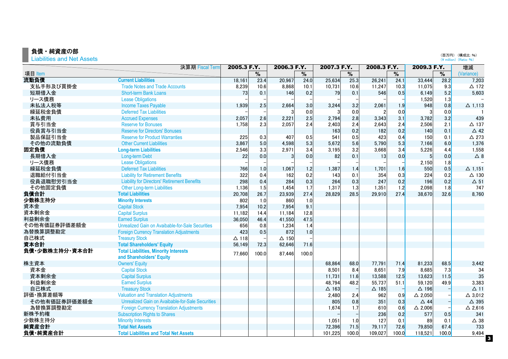#### 負債・純資産の部

Liabilities and Net Assets

|                | 決算期 Fiscal Term                                     | 2005.3 F.Y.  |               | 2006.3 F.Y.     |       | 2007.3 F.Y.  |       | 2008.3 F.Y.  |                          | 2009.3 F.Y.       |       | 増減                               |
|----------------|-----------------------------------------------------|--------------|---------------|-----------------|-------|--------------|-------|--------------|--------------------------|-------------------|-------|----------------------------------|
| 項目 Item        |                                                     |              | $\frac{9}{6}$ |                 | %     |              | $\%$  |              | $\overline{\frac{9}{6}}$ |                   | %     | (Variance)                       |
| 流動負債           | <b>Current Liabilities</b>                          | 18,161       | 23.4          | 20,967          | 24.0  | 25,634       | 25.3  | 26,241       | 24.1                     | 33,444            | 28.2  | 7,203                            |
| 支払手形及び買掛金      | <b>Trade Notes and Trade Accounts</b>               | 8,239        | 10.6          | 8,868           | 10.1  | 10,731       | 10.6  | 11,247       | 10.3                     | 11,075            | 9.3   | $\triangle$ 172                  |
| 短期借入金          | <b>Short-term Bank Loans</b>                        | 73           | 0.1           | 146             | 0.2   | 79           | 0.1   | 546          | 0.5                      | 6,149             | 5.2   | 5.603                            |
| リース債務          | <b>Lease Obligations</b>                            |              |               |                 |       |              |       |              |                          | 1,520             | 1.3   |                                  |
| 未払法人税等         | <b>Income Taxes Payable</b>                         | 1,939        | 2.5           | 2,664           | 3.0   | 3,244        | 3.2   | 2,061        | 1.9                      | 948               | 0.8   | $\Delta$ 1.113                   |
| 繰延税金負債         | <b>Deferred Tax Liabilities</b>                     |              |               |                 | 0.0   |              | 0.0   |              | 0.0                      | 3                 | 0.0   |                                  |
| 未払費用           | <b>Accrued Expenses</b>                             | 2,057        | 2.6           | 2,221           | 2.5   | 2,794        | 2.8   | 3,343        | 3.1                      | 3,782             | 3.2   | 439                              |
| 賞与引当金          | <b>Reserve for Bonuses</b>                          | 1,758        | 2.3           | 2,057           | 2.4   | 2,403        | 2.4   | 2,643        | 2.4                      | 2,506             | 2.1   | $\triangle$ 137                  |
| 役員賞与引当金        | <b>Reserve for Directors' Bonuses</b>               |              |               |                 |       | 163          | 0.2   | 182          | 0.2                      | 140               | 0.1   | $\triangle$ 42                   |
| 製品保証引当金        | <b>Reserve for Product Warranties</b>               | 225          | 0.3           | 407             | 0.5   | 541          | 0.5   | 423          | 0.4                      | 150               | 0.1   | $\triangle$ 273                  |
| その他の流動負債       | <b>Other Current Liabilities</b>                    | 3,867        | 5.0           | 4,598           | 5.3   | 5,672        | 5.6   | 5,790        | 5.3                      | 7,166             | 6.0   | 1,376                            |
| 固定負債           | <b>Long-term Liabilities</b>                        | 2,546        | 3.3           | 2,971           | 3.4   | 3,195        | 3.2   | 3,668        | 3.4                      | 5,226             | 4.4   | 1,558                            |
| 長期借入金          | <b>Long-term Debt</b>                               | 22           | 0.0           | $\mathbf{3}$    | 0.0   | 82           | 0.1   | 13           | 0.0                      | 5                 | 0.0   | $\Delta$ 8                       |
| リース債務          | <b>Lease Obligations</b>                            |              |               |                 |       |              |       |              |                          | 2,150             | 1.8   |                                  |
| 繰延税金負債         | <b>Deferred Tax Liabilities</b>                     | 766          | 1.0           | 1,067           | 1.2   | 1,387        | 1.4   | 1,701        | 1.6                      | 550               | 0.5   | $\Delta$ 1,151                   |
| 退職給付引当金        | <b>Liability for Retirement Benefits</b>            | 322          | 0.4           | 162             | 0.2   | 143          | 0.1   | 354          | 0.3                      | 224               | 0.2   | $\triangle$ 130                  |
| 役員退職慰労引当金      | <b>Liability for Directors' Retirement Benefits</b> | 298          | 0.4           | 284             | 0.3   | 264          | 0.3   | 247          | 0.2                      | 196               | 0.2   | $\Delta$ 51                      |
| その他固定負債        | Other Long-term Liabilities                         | 1,136        | 1.5           | 1,454           | 1.7   | 1,317        | 1.3   | 1,351        | 1.2                      | 2,098             | 1.8   | 747                              |
| 負債合計           | <b>Total Liabilities</b>                            | 20,708       | 26.7          | 23,939          | 27.4  | 28,829       | 28.5  | 29,910       | 27.4                     | 38,670            | 32.6  | 8,760                            |
| 少数株主持分         | <b>Minority Interests</b>                           | 802          | 1.0           | 860             | 1.0   |              |       |              |                          |                   |       |                                  |
| 資本金            | <b>Capital Stock</b>                                | 7,954        | 10.2          | 7,954           | 9.1   |              |       |              |                          |                   |       |                                  |
| 資本剰余金          | <b>Capital Surplus</b>                              | 11,182       | 14.4          | 11,184          | 12.8  |              |       |              |                          |                   |       |                                  |
| 利益剰余金          | <b>Earned Surplus</b>                               | 36,050       | 46.4          | 41,550          | 47.5  |              |       |              |                          |                   |       |                                  |
| その他有価証券評価差額金   | Unrealized Gain on Avaibable-for-Sale Securities    | 656          | 0.8           | 1,234           | 1.4   |              |       |              |                          |                   |       |                                  |
| 為替換算調整勘定       | <b>Foreign Currency Translation Adjustments</b>     | 423          | 0.5           | 872             | 1.0   |              |       |              |                          |                   |       |                                  |
| 自己株式           | <b>Treasury Stock</b>                               | $\Delta$ 118 |               | $\triangle$ 150 |       |              |       |              |                          |                   |       |                                  |
| 資本合計           | <b>Total Shareholders' Equity</b>                   | 56,149       | 72.3          | 62,646          | 71.6  |              |       |              |                          |                   |       |                                  |
| 負債·少数株主持分·資本合計 | <b>Total Liabilities, Minority Interests</b>        |              |               |                 |       |              |       |              |                          |                   |       |                                  |
|                | and Shareholders' Equity                            | 77,660       | 100.0         | 87,446          | 100.0 |              |       |              |                          |                   |       |                                  |
| 株主資本           | <b>Owners' Equity</b>                               |              |               |                 |       | 68,864       | 68.0  | 77.791       | 71.4                     | 81,233            | 68.5  | 3.442                            |
| 資本金            | <b>Capital Stock</b>                                |              |               |                 |       | 8,501        | 8.4   | 8,651        | 7.9                      | 8,685             | 7.3   | 34                               |
| 資本剰余金          | <b>Capital Surplus</b>                              |              |               |                 |       | 11,731       | 11.6  | 13,588       | 12.5                     | 13,623            | 11.5  | 35                               |
| 利益剰余金          | <b>Earned Surplus</b>                               |              |               |                 |       | 48,794       | 48.2  | 55,737       | 51.1                     | 59,120            | 49.9  | 3,383                            |
| 自己株式           | <b>Treasury Stock</b>                               |              |               |                 |       | $\Delta$ 163 |       | $\Delta$ 185 |                          | $\Delta$ 196      |       | $\Delta$ 11                      |
| 評価·換算差額等       | <b>Valuation and Translation Adjustments</b>        |              |               |                 |       | 2,480        | 2.4   | 962          | 0.9                      | $\triangle$ 2,050 |       | $\triangle$ 3.012                |
| その他有価証券評価差額金   | Unrealized Gain on Avaibable-for-Sale Securities    |              |               |                 |       | 805          | 0.8   | 351          | 0.3                      | $\triangle$ 44    |       | △ 395                            |
| 為替換算調整勘定       | <b>Foreign Currency Translation Adjustments</b>     |              |               |                 |       | 1,674        | 1.7   | 610          | 0.6                      | $\triangle$ 2,006 |       | $\Delta$ 2,616                   |
| 新株予約権          | <b>Subscription Rights to Shares</b>                |              |               |                 |       |              |       | 236          | 0.2                      | 577               | 0.5   | 341                              |
| 少数株主持分         | <b>Minority Interests</b>                           |              |               |                 |       | 1,051        | 1.0   | 127          | 0.1                      | 89                | 0.1   | $\triangle$ 38                   |
| 純資産合計          | <b>Total Net Assets</b>                             |              |               |                 |       | 72,396       | 71.5  | 79,117       | 72.6                     | 79,850            | 67.4  | 733                              |
| 負債·純資産合計       | <b>Total Liabilities and Total Net Assets</b>       |              |               |                 |       | 101,225      | 100.0 | 109,027      | 100.0                    | 118,521           | 100.0 | 9,494<br>$\overline{\mathbf{3}}$ |
|                |                                                     |              |               |                 |       |              |       |              |                          |                   |       |                                  |

(百万円)(構成比:%)<br>(¥ million)(Ratio:%)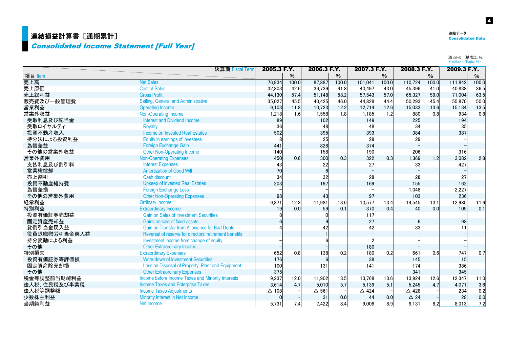## <mark>連結損益計算書[通期累計]</mark>

## Consolidated Income Statement [Full Year]

連結データ

(百万円)(構成比:%)<br>(¥ million)(Ratio:%)

|              | 決算期 Fiscal Term                                        | 2005.3 F.Y.  |        | 2006.3 F.Y.      |       | 2007.3 F.Y.     |       | 2008.3 F.Y.     |       | 2009.3 F.Y. |       |
|--------------|--------------------------------------------------------|--------------|--------|------------------|-------|-----------------|-------|-----------------|-------|-------------|-------|
| 項目 Item      |                                                        |              | %      |                  | %     |                 | $\%$  |                 | $\%$  |             | %     |
| 売上高          | <b>Net Sales</b>                                       | 76.934       | 100.0  | 87,887           | 100.0 | 101,041         | 100.0 | 110,724         | 100.0 | 111,842     | 100.0 |
| 売上原価         | <b>Cost of Sales</b>                                   | 32,803       | 42.6   | 36,739           | 41.8  | 43,497          | 43.0  | 45,396          | 41.0  | 40,838      | 36.5  |
| 売上総利益        | <b>Gross Profit</b>                                    | 44,130       | 57.4   | 51,148           | 58.2  | 57,543          | 57.0  | 65,327          | 59.0  | 71,004      | 63.5  |
| 販売費及び一般管理費   | Selling, General and Administrative                    | 35,027       | 45.5   | 40,425           | 46.0  | 44,828          | 44.4  | 50,293          | 45.4  | 55,870      | 50.0  |
| 営業利益         | <b>Operating Income</b>                                | 9,103        | $11.8$ | 10,723           | 12.2  | 12,714          | 12.6  | 15,033          | 13.6  | 15,134      | 13.5  |
| 営業外収益        | <b>Non-Operating Income</b>                            | 1,218        | 1.6    | 1,558            | 1.8   | 1,185           | 1.2   | 880             | 0.8   | 934         | 0.8   |
| 受取利息及び配当金    | <b>Interest and Dividend Income</b>                    | 89           |        | 102              |       | 149             |       | 225             |       | 194         |       |
| 受取ロイヤルティ     | <b>Royalty</b>                                         | 36           |        | 48               |       | 48              |       | 34              |       | 35          |       |
| 投資不動産収入      | Income on Invested Real Estates                        | 502          |        | 395              |       | 393             |       | 384             |       | 387         |       |
| 持分法による投資利益   | Equity in earnings of investees                        |              |        | 25               |       | 29              |       | 29              |       |             |       |
| 為替差益         | Foreign Exchange Gain                                  | 441          |        | 828              |       | 374             |       |                 |       |             |       |
| その他の営業外収益    | <b>Other Non-Operating Income</b>                      | 140          |        | 158              |       | 190             |       | 206             |       | 316         |       |
| 営業外費用        | <b>Non-Operating Expenses</b>                          | 450          | 0.6    | 300              | 0.3   | 322             | 0.3   | 1,369           | 1.2   | 3,082       | 2.8   |
| 支払利息及び割引料    | <b>Interest Expenses</b>                               | 43           |        | 22               |       | 27              |       | 33              |       | 427         |       |
| 営業権償却        | <b>Amortization of Good Will</b>                       | 70           |        | $6 \overline{6}$ |       |                 |       |                 |       |             |       |
| 売上割引         | Cash discount                                          | 34           |        | 32               |       | 28              |       | 28              |       | 27          |       |
| 投資不動産維持費     | <b>Upkeep of invested Real Estates</b>                 | 203          |        | 197              |       | 169             |       | 155             |       | 162         |       |
| 為替差損         | <b>Foreign Exchange Loss</b>                           |              |        |                  |       |                 |       | 1,048           |       | 2,227       |       |
| その他の営業外費用    | <b>Other Non-Operating Expenses</b>                    | 98           |        | 43               |       | 97              |       | 103             |       | 236         |       |
| 経常利益         | <b>Ordinary Income</b>                                 | 9,871        | 12.8   | 11,981           | 13.6  | 13,577          | 13.4  | 14,545          | 13.1  | 12,985      | 11.6  |
| 特別利益         | <b>Extraordinary Income</b>                            | 19           | 0.0    | 59               | 0.1   | 370             | 0.4   | 40              | 0.0   | 109         | 0.1   |
| 投資有価証券売却益    | <b>Gain on Sales of Investment Securities</b>          |              |        | U                |       | 117             |       |                 |       |             |       |
| 固定資産売却益      | Gains on sale of fixed assets                          |              |        |                  |       | 27              |       |                 |       | 98          |       |
| 貸倒引当金戻入益     | <b>Gain on Transfer from Allowance for Bad Debts</b>   |              |        | 42               |       | 42              |       | 33              |       | 11          |       |
| 役員退職慰労引当金戻入益 | Reversal of reserve for directors' retirement benefits |              |        |                  |       |                 |       |                 |       |             |       |
| 持分変動による利益    | Investment income from change of equity                |              |        |                  |       |                 |       |                 |       |             |       |
| その他          | <b>Other Extraordinary Income</b>                      |              |        |                  |       | 180             |       |                 |       |             |       |
| 特別損失         | <b>Extraordinary Expenses</b>                          | 652          | 0.8    | 138              | 0.2   | 180             | 0.2   | 661             | 0.6   | 747         | 0.7   |
| 投資有価証券等評価損   | <b>Write-down of Investment Securities</b>             | 176          |        | 6                |       | 38              |       | 145             |       | 15          |       |
| 固定資産除売却損     | Loss on Disposal of Property, Plant and Equipment      | 100          |        | 131              |       | 141             |       | 174             |       | 386         |       |
| その他          | <b>Other Extraordinary Expenses</b>                    | 375          |        |                  |       |                 |       | 341             |       | 345         |       |
| 税金等調整前当期純利益  | Income before Income Taxes and Minority Interests      | 9,237        | 12.0   | 11,902           | 13.5  | 13,768          | 13.6  | 13,924          | 12.6  | 12,347      | 11.0  |
| 法人税、住民税及び事業税 | <b>Income Taxes and Enterprise Taxes</b>               | 3,614        | 4.7    | 5.010            | 5.7   | 5.139           | 5.1   | 5,245           | 4.7   | 4,071       | 3.6   |
| 法人税等調整額      | <b>Income Taxes Adjustments</b>                        | $\Delta$ 108 |        | $\Delta$ 561     |       | $\triangle$ 424 |       | $\triangle$ 428 |       | 234         | 0.2   |
| 少数株主利益       | Minority Interest in Net Income                        |              |        | 31               | 0.0   | 44              | 0.0   | $\triangle$ 24  |       | 28          | 0.0   |
| 当期純利益        | Net Income                                             | 5.731        | 7.4    | 7,422            | 8.4   | 9.008           | 8.9   | 9.131           | 8.2   | 8.013       | 7.2   |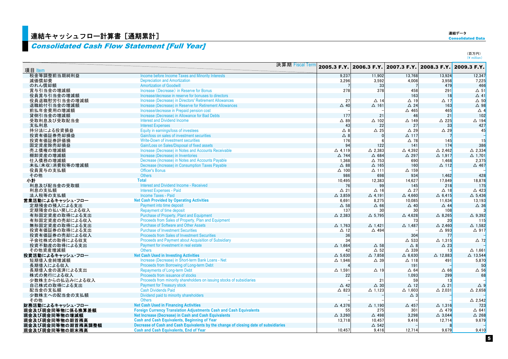## ■連結キャッシュフロー計算書[通期累計]

## Consolidated Cash Flow Statement [Full Year]

連結データ<br><mark>Consolidated Data</mark>

| 項目 Item           | 決算期 Fiscal Term                                                                     |                   | 2005.3 F.Y. 2006.3 F.Y. 2007.3 F.Y. 2008.3 F.Y. 2009.3 F.Y. |                   |                    |                    |
|-------------------|-------------------------------------------------------------------------------------|-------------------|-------------------------------------------------------------|-------------------|--------------------|--------------------|
| 税金等調整前当期純利益       | Income before Income Taxes and Minority Interests                                   | 9,237             | 11,902                                                      | 13,768            | 13,924             | 12,347             |
| 減価償却費             | <b>Depreciation and Amortization</b>                                                | 3,296             | 3,592                                                       | 4,008             | 3,958              | 7,225              |
| のれん償却額            | <b>Amortization of Goodwill</b>                                                     |                   | 33                                                          |                   | 479                | 466                |
| 賞与引当金の増減額         | Increase (Decrease) in Reserve for Bonus                                            | 278               | 378                                                         | 458               | 291                | $\Delta$ 51        |
| 役員賞与引当金の増減額       | Increase/decrease in reserve for bonuses to directors                               |                   |                                                             | 163               | 18                 | $\triangle$ 41     |
| 役員退職慰労引当金の増減額     | Increase (Decrease) in Directors' Retirement Allowances                             | 27                | $\Delta$ 14                                                 | $\Delta$ 19       | $\Delta$ 17        | $\Delta$ 50        |
| 退職給付引当金の増減額       | Increase (Decrease) in Reserve for Retirement Allowances                            | $\triangle$ 40    | $\Delta$ 161                                                | $\triangle$ 24    | 163                | △ 98               |
| 前払年金費用の増減額        | Increase/decrease in Prepaid pension cost                                           |                   |                                                             | $\Delta$ 465      | 465                | $\triangle$ 4      |
| 貸倒引当金の増減額         | Increase (Decrease) in Allowance for Bad Debts                                      | 177               | 21                                                          | 46                | 21                 | 102                |
| 受取利息及び受取配当金       | <b>Interest and Dividend Income</b>                                                 | $\triangle$ 89    | $\Delta$ 102                                                | $\triangle$ 149   | $\triangle$ 225    | $\triangle$ 194    |
| 支払利息              | <b>Interest Expenses</b>                                                            | 43                | 22                                                          | 27                | 33                 | 427                |
| 持分法による投資損益        | Equity in earnings/loss of investees                                                | $\triangle$ 8     | $\Delta$ 25                                                 | $\triangle$ 29    | $\triangle$ 29     | 45                 |
| 投資有価証券売却損益        | Gain/loss on sales of investment securities                                         | $\triangle$ 8     |                                                             | $\Delta$ 117      |                    |                    |
| 投資有価証券評価損         | Write-Down of investment securities                                                 | 176               |                                                             | $\triangle$ 78    | 145                | $\frac{-}{15}$     |
| 固定資産除売却損益         | Gain/Loss on Sales/Disposal of fixed assets                                         | 94                | 122                                                         | 141               | 174                | 386                |
| 売上債権の増減額          | Increase (Decrease) in Notes and Accounts Receivable                                | $\Delta$ 4.119    | $\triangle$ 2,383                                           | △ 4.392           | $\triangle$ 2,462  | $\triangle$ 2,334  |
| 棚卸資産の増減額          | Increase (Decrease) in Inventories                                                  | $\triangle$ 744   | $\triangle$ 684                                             | △ 297             | $\triangle$ 1,917  | $\Delta$ 1.701     |
| 仕入債務の増減額          | Decrease (Increase) in Notes and Accounts Payable                                   | 1.368             | $\triangle$ 753                                             | 690               | 1,468              | 2.375              |
| 未払(未収)消費税等の増減額    | Decrease (Increase) in Consumption Taxes Payable                                    | $\triangle$ 88    | $\Delta$ 165                                                | 160               | $\triangle$ 112    | $\triangle$ 467    |
| 役員賞与の支払額          | <b>Officer's Bonus</b>                                                              | $\triangle$ 100   | $\Delta$ 111                                                | $\Delta$ 159      |                    |                    |
| その他               | <b>Others</b>                                                                       | 986               | 698                                                         | 934               | 1.462              | 428                |
| 小計                | <b>Total</b>                                                                        | 10.495            | 12,383                                                      | 14,627            | 17,849             | 18.878             |
| 利息及び配当金の受取額       | <b>Interest and Dividend Income - Received</b>                                      | 76                | 99                                                          | 145               | 218                | 175                |
| 利息の支払額            | <b>Interest Expenses - Paid</b>                                                     | $\Delta$ 21       | $\Delta$ 16                                                 | $\triangle$ 27    | $\triangle$ 18     | $\triangle$ 423    |
| 法人税等の支払額          | <b>Income Taxes - Paid</b>                                                          | $\triangle$ 3,859 | $\Delta$ 4,191                                              | $\Delta$ 4,660    | $\Delta$ 6,415     | $\Delta$ 5,436     |
| 営業活動によるキャッシュ・フロー  | <b>Net Cash Provided by Operating Activities</b>                                    | 6,691             | 8,275                                                       | 10,085            | 11,634             | 13,193             |
| 定期預金の預入による支出      | Payment into time deposit                                                           | $\Delta$ 58       | $\Delta$ 66                                                 | $\triangle$ 40    | $\triangle$ 44     | $\Delta$ 36        |
| 定期預金の払い戻しによる収入    | <b>Repayment of time deposit</b>                                                    | 137               | 30                                                          | 30                | 108                |                    |
| 有形固定資産の取得による支出    | <b>Purchase of Property, Plant and Equipment</b>                                    | $\triangle$ 2,383 | $\Delta$ 5,795                                              | $\triangle$ 4,628 | $\triangle$ 8,265  | $\Delta$ 9,392     |
| 有形固定資産の売却による収入    | Proceeds from Sales of Property, Plan and Equipment                                 |                   |                                                             | 73                | 20                 | 115                |
| 無形固定資産の取得による支出    | <b>Purchase of Software and Other Assets</b>                                        | $\Delta$ 1.763    | $\Delta$ 1,421                                              | $\triangle$ 1,487 | $\triangle$ 2,460  | $\triangle$ 1,582  |
| 投資有価証券の取得による支出    | <b>Purchase of Investment Securities</b>                                            | $\Delta$ 12       | △ 494                                                       |                   | $\triangle$ 993    | △ 917              |
| 投資有価証券の売却による収入    | <b>Proceeds from Sales of Investment Securities</b>                                 | 36                |                                                             | 304               | -77                |                    |
| 子会社株式の取得による収支     | Proceeds and Payment about Acquisition of Subsidiary                                | 34                |                                                             | $\Delta$ 533      | $\Delta$ 1,315     | $\triangle$ 72     |
| 投資不動産の取得による支出     | Payment for investment in real estate                                               | $\Delta$ 1,664    | $\Delta$ 58                                                 | $\triangle$ 8     | $\triangle$ 23     |                    |
| その他資産増減額          | <b>Others</b>                                                                       | 42                | $\Delta$ 52                                                 | $\triangle$ 339   | 13                 | $\Delta$ 1,661     |
| 投資活動によるキャッシュ・フロー  | <b>Net Cash Used in Investing Activities</b>                                        | $\triangle$ 5.630 | $\triangle$ 7.858                                           | $\Delta$ 6.630    | $\triangle$ 12,883 | $\triangle$ 13.544 |
| 短期借入金純増減額         | Increase (Decrease) in Short-term Bank Loans - Net                                  | $\Delta$ 1,946    | $\triangle$ 39                                              | $\Delta$ 118      | 491                | 5,870              |
| 長期借入による収入         | Proceeds from Borrowing of Long-term Debt                                           |                   |                                                             | 191               |                    | 50                 |
| 長期借入金の返済による支出     | <b>Repayments of Long-term Debt</b>                                                 | $\Delta$ 1,591    | $\Delta$ 19                                                 | $\Delta$ 64       | $\Delta$ 66        | $\Delta$ 56        |
| 株式の発行による収入        | Proceeds from issuance of stocks                                                    | 22                |                                                             | 1.093             | 299                | 68                 |
| 少数株主からの払込みによる収入   | Proceeds from minority shareholders on issuing stocks of subsidiaries               |                   | 21                                                          | 59                | 13                 |                    |
| 自己株式の取得による支出      | <b>Payment for Treasury stock</b>                                                   | $\triangle$ 42    | $\triangle$ 30                                              | $\triangle$ 12    | $\Delta$ 21        | $\triangle$ 9      |
| 配当金の支払額           | <b>Cash Dividends Paid</b>                                                          | $\triangle$ 823   | $\Delta$ 1,123                                              | $\Delta$ 1.603    | $\triangle$ 2.031  | $\Delta$ 2,658     |
| 少数株主への配当金の支払額     | Dividend paid to minority shareholders                                              |                   |                                                             | $\triangle$ 3     |                    |                    |
| その他               | <b>Others</b>                                                                       |                   |                                                             |                   |                    | $\triangle$ 2.542  |
| 財務活動によるキャッシュ・フロー  | <b>Net Cash Used in Financing Activities</b>                                        | $\triangle$ 4.376 | $\Delta$ 1,190                                              | $\triangle$ 457   | $\Delta$ 1.316     | 723                |
| 現金及び現金同等物に係る換算差額  | <b>Foreign Currency Translation Adjustments Cash and Cash Equivalents</b>           | 55                | 275                                                         | 301               | $\triangle$ 479    | $\triangle$ 641    |
| 現金及び現金同等物の増減額     | Net Increase (Decrease) in Cash and Cash Equivalents                                | $\triangle$ 3.260 | △ 498                                                       | 3.298             | $\triangle$ 3,044  | $\triangle$ 268    |
| 現金及び現金同等物の期首残高    | <b>Cash and Cash Equivalents, Beginning of Year</b>                                 | 13.718            | 10.457                                                      | 9.416             | 12,714             | 9,679              |
| 現金及び現金同等物の期首残高調整額 | Decrease of Cash and Cash Equivalents by the change of closing date of subsidiaries |                   | $\triangle$ 542                                             |                   |                    |                    |
| 現金及び現金同等物の期末残高    | <b>Cash and Cash Equivalents, End of Year</b>                                       | 10.457            | 9.416                                                       | 12.714            | 9.679              | 9.410              |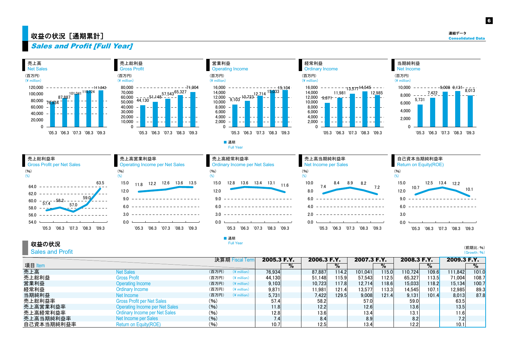### 収益の状況[通期累計] $\blacksquare$  Consolidated Data

6

Sales and Profit [Full Year]



収益の状況

Sales and Profit

(前期比·%) (Growth: %)

| 決算期 Fiscal Term |                                       |       | 2005.3 F.Y.<br>2006.3 F.Y. |                   | 2007.3 F.Y. |                   | 2008.3 F.Y. |         | 2009.3 F.Y. |         |       |                   |       |
|-----------------|---------------------------------------|-------|----------------------------|-------------------|-------------|-------------------|-------------|---------|-------------|---------|-------|-------------------|-------|
| 項目 Item         |                                       |       |                            |                   | %           |                   | $\%$        |         | %           |         | %     |                   | %     |
| 売上高             | <b>Net Sales</b>                      | (百万円) | $(*)$ million)             | 76.934            |             | 87.887            | 114.21      | 101.041 | 115.0       | 110.724 | 109.6 | 111.842           | 101.0 |
| 売上総利益           | <b>Gross Profit</b>                   | (百万円) | $(*)$ million)             | 44.130            |             | 51.148            | 115.91      | 57.543  | 112.51      | 65.327  | 113.5 | 71,004            | 108.7 |
| 営業利益            | <b>Operating Income</b>               | (百万円) | $(*)$ million)             | 9.103             |             | 10.723            | 117.81      | 12.714  | 118.61      | 15.033  | 118.2 | 15,134            | 100.7 |
| 経常利益            | Ordinary Income                       | (百万円) | $(*)$ million)             | 9.871             |             | 11.981            | 121.41      | 13,577  | 113.31      | 14.545  | 107.1 | 12,985            | 89.3  |
| 当期純利益           | Net Income                            | (百万円) | $(\frac{2}{3})$ million    | 5.731             |             | 7,422             | 129.51      | 9,008   | 121.41      | 9.131   | 101.4 | 8,013             | 87.8  |
| 売上総利益率          | <b>Gross Profit per Net Sales</b>     | (96)  |                            | 57.4              |             | 58.2              |             | 57.0    |             | 59.0    |       | 63.5              |       |
| 売上高営業利益率        | <b>Operating Income per Net Sales</b> | (96)  |                            | 11.8              |             | 12.2              |             | 12.6    |             | 13.6    |       | 13.5              |       |
| 売上高経常利益率        | <b>Ordinary Income per Net Sales</b>  | (96)  |                            | 12.8 <sub>i</sub> |             | 13.6              |             | 13.4    |             | 13.1    |       | 11.6 <sub>i</sub> |       |
| 売上高当期純利益率       | Net Income per Sales                  | (9/6) |                            |                   |             | 8.4               |             | 8.9     |             |         |       |                   |       |
| 自己資本当期純利益率      | Return on Equity(ROE)                 | (96)  |                            | 10.7 <sub>1</sub> |             | 12.5 <sub>1</sub> |             | 13.4    |             | 12.2    |       | 10.1              |       |

Full Year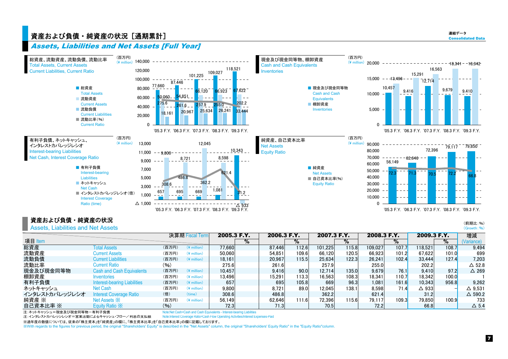## ငⅹ↷↢ͺ∝ኝင↝ཞඞ≾ᡫካᚘ⊀ Consolidated Data

連結データ

#### Assets, Liabilities and Net Assets [Full Year]



#### 資産および負債 • 純資産の状況

Assets, Liabilities and Net Assets

|                |                                  |        | 決算期 Fiscal Term          |        | 2005.3 F.Y. |        | 2006.3 F.Y. | 2007.3 F.Y. |       | 2008.3 F.Y. |                      | 2009.3 F.Y.     |       | 増減                |
|----------------|----------------------------------|--------|--------------------------|--------|-------------|--------|-------------|-------------|-------|-------------|----------------------|-----------------|-------|-------------------|
| 項目 Item        |                                  |        |                          |        | %           |        | $\%$        |             | %     |             | $\%$                 |                 | $\%$  | (Variance)        |
| 総資産            | <b>Total Assets</b>              | (百万円)  | $(*)$ million)           | 77.660 |             | 87.446 | 112.6       | 101.225     | 115.8 | 109.027     | 107.7                | 118.521         | 108.7 | 9.494             |
| 流動資産           | <b>Current Assets</b>            | (百万円)  | $(*)$ million)           | 50,060 |             | 54.851 | 109.6       | 66.120      | 120.5 | 66.923      | 101.2                | 67.622          | 101.0 | 699               |
| 流動負債           | <b>Current Liabilities</b>       | (百万円)  | $(*)$ million)           | 18.161 |             | 20.967 | 115.5       | 25.634      | 122.3 | 26.241      | 102.4                | 33.444          | 127.4 | 7.203             |
| 流動比率           | Current Ratio                    | $(\%)$ |                          | 275.6  |             | 261.6  |             | 257.9       |       | 255.0       |                      | 202.2           |       | $\Delta$ 52.8     |
| 現金及び現金同等物      | <b>Cash and Cash Equivalents</b> | (百万円)  | $(\frac{4}{3})$ million) | 10.457 |             | 9.416  | 90.0        | 12.714      | 135.0 | 9.679       | 76.1                 | 9.410           | 97.2  | $\triangle$ 269   |
| 棚卸資産           | <i><b>Inventories</b></i>        | (百万円)  | $(*)$ million)           | 13.496 |             | 15.291 | 13.3        | 16.563      | 108.3 | 18.341      | 110.7 <mark>.</mark> | 18.342          | 100.0 |                   |
| 有利子負債          | Interest-bearing Liabilities     | (百万円)  | $(*)$ million)           | 657    |             | 695    | 105.8       | 669         | 96.3  | 1,081       | 161.6                | 10,343          | 956.8 | 9,262             |
| ネットキャッシュ       | Net Cash                         | (百万円)  | $(*)$ million)           | 9.800  |             | 8.721  | 89.0        | 12.045      | 138.1 | 8.598       | 71.4                 | $\triangle$ 933 |       | △ 9.531           |
| インタレストカバレッジレシオ | Interest Coverage Ratio          | (倍)    | time)                    | 308.6  |             | 486.8  |             | 362.2       |       | 621.4       |                      | 31.2            |       | $\triangle$ 590.2 |
| 純資産 ※          | Net Assets $\mathbb{X}$          | (百万円)  | $(*)$ million)           | 56.149 |             | 62.646 | 111.6       | 72.396      | 115.6 | 79.117      | 109.3                | 79,850          | 100.9 | 733               |
| 自己資本比率 ※       | Equity Ratio X                   | (96)   |                          | 72.3   |             | 71.3   |             | 70.5        |       | 72.2        |                      | 66.8            |       | $\Delta$ 5.4      |

注:ネットキャッシュ=現金及び現金同等物ー有利子負債 のことには Note:Net Cash=Cash and Cash Equivalents - Interest-bearing Liabilities

注:インタレストカバレッジレシオ=営業活動によるキャッシュ・フロー/利息の支払額 Mote:Interest Coverage Ratio=Cash Flow Operating Activities/Interest Expenses-Paid

※渦年度の数値については、従来の「株主資本」を「純資産」の欄に、「株主資本比率」を「自己資本比率」の欄に記載しております。

㶎With regards to the figures for previous period, the original "Shareholders' Equity" is described in the "Net Assets" column, the original "Shareholders' Equity Ratio" in the "Equity Ratio"column.

(前期比:%) (Growth: %)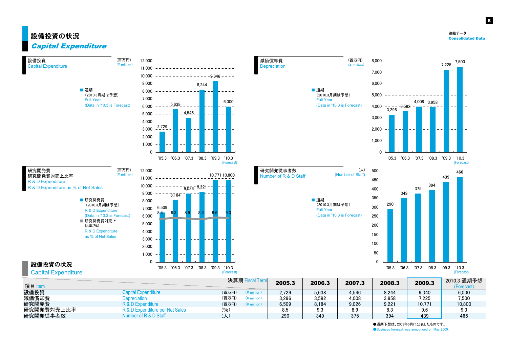## 設備投資の状況 ファイルストン アクセス アクセス しょうしょう しょうかい しょうしょう しょうかい アクセス しょうしゅう しょうかい アクセス しょうかい しょうかい しょうかい きょうかい きょうかい きょうかい

2010.3 通期予想 (Forecast)

8

## Capital Expenditure

| 設備投資<br><b>Capital Expenditure</b>                       | (百万円)<br>$(*$ million)                                                   | 12,000<br>11.000                                                                       |                                    |                                  | 減価償却費<br><b>Depreciation</b>      |                                           | (百万円)<br>(¥ million)             | 8,000                                                          |                 | $7,500^{-}$<br>7,225         |
|----------------------------------------------------------|--------------------------------------------------------------------------|----------------------------------------------------------------------------------------|------------------------------------|----------------------------------|-----------------------------------|-------------------------------------------|----------------------------------|----------------------------------------------------------------|-----------------|------------------------------|
|                                                          |                                                                          | 10,000                                                                                 | $-9.340 - - -$                     |                                  |                                   |                                           |                                  | 7.000                                                          |                 |                              |
|                                                          |                                                                          | 9.000                                                                                  | $8.244 -$                          |                                  |                                   |                                           |                                  | 6.000                                                          |                 |                              |
|                                                          | ■ 通期<br>(2010.3月期は予想)<br><b>Full Year</b><br>(Data in '10.3 is Forecast) | 8.000<br>7.000<br>5.638<br>6.000<br>4,546<br>5.000<br>4.000<br>2,729<br>3,000<br>2,000 | 6,000                              |                                  |                                   | ■ 通期<br>(2010.3月期は予想)<br><b>Full Year</b> | (Data in '10.3 is Forecast)      | 5,000<br>$-3,592$<br>4,000<br>3.296<br>3,000<br>2,000<br>1,000 | 4,008 3,958     |                              |
|                                                          |                                                                          | 1,000<br>$\Omega$<br>'06.3 '07.3<br>'05.3                                              | '08.3 '09.3<br>'10.3<br>(Forecast) |                                  |                                   |                                           |                                  | $\Omega$<br>'06.3<br>'05.3                                     | '07.3<br>'08.3  | '09.3<br>'10.3<br>(Forecast) |
| 研究開発費<br>研究開発費対売上比率                                      | (百万円)<br>(¥ million)                                                     | 12.000<br>11.000                                                                       | 10,771 10,800                      |                                  | 研究開発従事者数<br>Number of R & D Staff |                                           | $(\lambda)$<br>(Number of Staff) | 500                                                            |                 | $766^-$<br>439               |
| R & D Expenditure<br>R & D Expenditure as % of Net Sales |                                                                          | 10,000<br>$\bar{9,026}$ <sup>-9,221</sup>                                              |                                    |                                  |                                   |                                           |                                  | 450<br>400                                                     | 394<br>$375 -$  |                              |
|                                                          |                                                                          | 9,000<br>8.184                                                                         |                                    |                                  |                                   |                                           |                                  | 349<br>350                                                     |                 |                              |
|                                                          | ■ 研究開発費<br>(2010.3月期は予想)                                                 | 8.000                                                                                  |                                    |                                  |                                   | ■ 通期<br>(2010.3月期は予想)                     |                                  | 290<br>300                                                     |                 |                              |
|                                                          | R & D Expenditure                                                        | 7,000 -6,509                                                                           |                                    |                                  |                                   | <b>Full Year</b>                          | (Data in '10.3 is Forecast)      |                                                                |                 |                              |
|                                                          | (Data in '10.3 is Forecast)<br>■ 研究開発費対売上                                | 6,000<br>5,000                                                                         |                                    |                                  |                                   |                                           |                                  | 250                                                            |                 |                              |
|                                                          | 比率(%)<br>R & D Expenditure                                               | $\equiv$<br>$4,000 -$                                                                  |                                    |                                  |                                   |                                           |                                  | 200<br>$\overline{\phantom{a}}$                                |                 |                              |
|                                                          | as % of Net Sales                                                        | 3,000<br>$\overline{\phantom{a}}$                                                      |                                    |                                  |                                   |                                           |                                  | 150                                                            |                 |                              |
|                                                          |                                                                          | $2,000 -$<br>1,000                                                                     |                                    |                                  |                                   |                                           |                                  | 100<br>$\sim$ .<br>50                                          |                 |                              |
|                                                          |                                                                          | $\mathbf{0}$                                                                           |                                    |                                  |                                   |                                           |                                  | $\mathbf{0}$                                                   |                 |                              |
| 設備投資の状況<br><b>Capital Expenditure</b>                    |                                                                          | '06.3 '07.3<br>'05.3                                                                   | '08.3 '09.3<br>'10.3<br>(Forecast) |                                  |                                   |                                           |                                  | '06.3<br>'05.3                                                 | '07.3 '08.3     | '09.3<br>'10.3<br>(Forecast) |
| 項目 Item                                                  |                                                                          |                                                                                        |                                    | 決算期 Fiscal Term                  | 2005.3                            | 2006.3                                    | 2007.3                           | 2008.3                                                         | 2009.3          | 2010.3 通期<br>(Forecas        |
| 設備投資                                                     |                                                                          | <b>Capital Expenditure</b>                                                             | (百万円)                              | $(*)$ million)                   | 2,729                             | 5,638                                     | 4,546                            | 8,244                                                          | 9,340           | 6,000                        |
| 減価償却費<br>研究開発費                                           | Depreciation                                                             | R & D Expenditure                                                                      | (百万円)<br>(百万円)                     | $(*)$ million)<br>$(*)$ million) | 3,296<br>6,509                    | 3,592<br>8,184                            | 4,008<br>9,026                   | 3,958<br>9,221                                                 | 7,225<br>10,771 | 7,500<br>10,800              |
| 研究開発費対売上比率                                               |                                                                          | R & D Expenditure per Net Sales                                                        | (96)                               |                                  | 8.5                               | 9.3                                       | 8.9                              | 8.3                                                            | 9.6             | 9.3                          |
| 研究開発従事者数                                                 |                                                                          | Number of R & D Staff                                                                  | $(\lambda)$                        |                                  | 290                               | 349                                       | 375                              | 394                                                            | 439             | 466                          |

●通期予想は、2009年5月に公表したものです。

● Business forecast was announced on May 2009.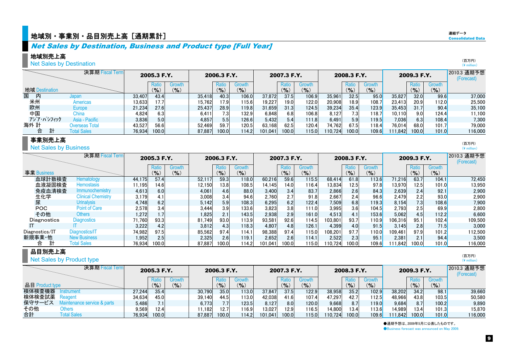## 地域別・事業別・品目別売上高[通期累計] $\frac{d}{d}$  $\frac{d}{d}$  was also consolidated Data on  $\frac{d}{d}$  consolidated Data on  $\frac{d}{d}$

## Net Sales by Destination, Business and Product type [Full Year]

#### 地域別売上高

**Net Sales by Destination** 

|                | 決算期 Fiscal Term    |        | 2005.3 F.Y. |        |        | 2006.3 F.Y. |           |         | 2007.3 F.Y. |           |         | 2008.3 F.Y.      |        |         | 2009.3 F.Y. |        | 2010.3 通期予想<br>(Forecast) |
|----------------|--------------------|--------|-------------|--------|--------|-------------|-----------|---------|-------------|-----------|---------|------------------|--------|---------|-------------|--------|---------------------------|
|                |                    |        | Ratio       | Growth |        | Ratio       | Growth    |         | Ratio       | Growth    |         | Ratio            | Growth |         |             | Growth |                           |
| 地域 Destination |                    |        | $($ % $)$   | (9/6)  |        | $(9)_{0}$   | $(9)_{0}$ |         | (9/6)       | $($ % $)$ |         | $\frac{9}{6}$    | (9)    |         | (9/0)       | (9)    |                           |
| 国<br>内         | Japan              | 33.407 | 43.4        |        | 35.418 | 40.3        | 106.0     | 37,872  | 37.5        | 106.9     | 35,961  | 32.5             | 95.0   | 35,827  | 32.0        | 99.6   | 37,000                    |
| 米州             | <b>Americas</b>    | 13,633 | 17.7        |        | 15.762 | 17.9        | 115.6     | 19.227  | 19.0        | 122.0     | 20,908  | 18.9             | 108.7  | 23.413  | 20.9        | 112.0  | 25,500                    |
| 欧州             | Europe             | 21,234 | 27.6        |        | 25.437 | 28.9        | 119.8     | 31,659  | 31.3        | 124.5     | 39,234  | 35.4             | 123.9  | 35.453  | 31.7        | 90.4   | 35,100                    |
| 中国             | China              | 4,824  | 6.3         |        | 6.411  |             | 132.9     | 6,848   | 6.8         | 106.8     | 8.127   | 7.3 <sub>1</sub> | 18.7   | 10.110  | 9.0         | 124.4  | 11,100                    |
| アジア・パシフィック     | Asia - Pacific     | 3,836  | 5.0         |        | 4.857  | 5.5         | 126.6     | 5,432   | 5.4         | 111.8     | 6,491   | 5.9              | 119.5  | 7.036   | 6.3         | 108.4  | 7,300                     |
| 海外 計           | Overseas Total     | 43.527 | 56.6        |        | 52.469 | 59.7        | 120.5     | 63.168  | 62.5        | 120.4     | 74,762  | 67.5             | 118.4  | 76.014  | 68.0        | 101.7  | 79,000                    |
| 計<br>合         | <b>Total Sales</b> | 76.934 | 100.0       |        | 87.887 | 100.0       | 114.2     | 101.041 | 100.0       | 115.0     | 110.724 | 100.0            | 109.6  | 111.842 | 100.0       | 101.0  | 116,000                   |

#### 事業別売上高

**Net Sales by Business** 

|                | 決算期 Fiscal Term           |        | 2005.3 F.Y. |                     |        | 2006.3 F.Y.        |                                      |         | 2007.3 F.Y.        |                  |         | 2008.3 F.Y.  |                                      |         | 2009.3 F.Y. |                         | 2010.3 通期予想<br>(Forecast) |
|----------------|---------------------------|--------|-------------|---------------------|--------|--------------------|--------------------------------------|---------|--------------------|------------------|---------|--------------|--------------------------------------|---------|-------------|-------------------------|---------------------------|
| 事業 Business    |                           |        | $(9)_{0}$   | Growth<br>$(9)_{o}$ |        | Ratio<br>$($ % $)$ | Growth<br>$\mathcal{O}_{\mathbf{0}}$ |         | Ratic<br>$(9)_{0}$ | Growth<br>$($ %) |         | Ratio<br>(%) | Growth<br>$\mathcal{O}_{\mathbf{0}}$ |         | $(9)_{0}$   | <b>Growth</b><br>$($ %) |                           |
| 血球計数検査         | Hematology                | 44.175 | 57.4        |                     | 52.117 | 59.3               | 118.0                                | 60,216  | 59.6               | 115.5            | 68.414  | 61.8         | 113.6                                | 71.216  | 63.7        | 104.1                   | 72,450                    |
| 血液凝固検査         | <b>Hemostasis</b>         | 11.195 | 14.6        |                     | 12.150 | 13.8               | 108.5                                | 14.145  | 14.0               | 116.4            | 13,834  | 12.5         | 97.8                                 | 13,970  | 12.5        | 101.0                   | 13,950                    |
| 免疫血清検査         | <b>Immunochemistry</b>    | 4,613  | 6.0         |                     | 4,061  | 4.6                | 88.0                                 | 3,400   | 3.4                | 83.7             | 2,866   | 2.6          | 84.3                                 | 2,639   | 2.4         | 92.1                    | 2.900                     |
| 生化学            | <b>Clinical Chemistry</b> | 3,179  | 4.1         |                     | 3.008  | 3.4                | 94.6                                 | 2.760   | 2.7                | 91.8             | 2,667   | 2.4          | 96.6                                 | 2.479   | 2.2         | 93.0                    | 2.900                     |
| 尿              | <b>Urinalysis</b>         | 4,748  | 6.2         |                     | 5.142  | 5.9                | 108.3                                | 6,295   | 6.2                | 122.4            | 7,509   | 6.8          | 119.3                                | 8.154   | 7.3         | 108.6                   | 7,900                     |
| <b>POC</b>     | Point of Care             | 2,578  | 3.4         |                     | 3,444  |                    | 133.6                                | 3,823   | 3.8                | 111.0            | 3,995   | 3.6          | 104.5                                | 2.793   | 2.5         | 69.9                    | 2.800                     |
| その他            | Others                    | 1.272  | 1.7         |                     | 1,825  | 2.1                | 143.5                                | 2,938   | 2.9                | 161.0            | 4,513   | 4.1          | 153.6                                | 5.062   | 4.5         | 112.2                   | 6,600                     |
| Diagnostics    | <b>Diagnostics</b>        | 71,760 | 93.3        |                     | 81.749 | 93.0               | 113.9                                | 93.581  | 92.6               | 114.5            | 103.801 | 93.7         | 110.9                                | 106.316 | 95.1        | 102.4                   | 109,500                   |
|                |                           | 3,222  | 4.2         |                     | 3,812  | 4.3                | 118.3                                | 4.807   | 4.8                | 126.1            | 4,399   | 4.0          | 91.5                                 | 3.145   | 2.81        | 71.5                    | 3.000                     |
| Diagnostics/IT | Diagnostics/IT            | 74.982 | 97.5        |                     | 85.562 | 97.4               | 114.1                                | 98.388  | 97.4               | 115.0            | 108.201 | 97.7         | 110.0                                | 109.461 | 97.9        | 101.2                   | 112,500                   |
| 新規事業·他         | <b>New Business</b>       | 1.952  | 2.5         |                     | 2.325  | 2.6                | 119.1                                | 2.652   | 2.6                | 114.1            | 2,522   | 2.3          | 95.1                                 | 2.381   | 2.1         | 94.4                    | 3,500                     |
| 合              | <b>Total Sales</b>        | 76.934 | 100.0       |                     | 87.887 | 100.0              | 14.2                                 | 101.041 | 100.0              | 115.0            | 110.724 | 100.0        | 109.6                                | 111.842 | 100.0       | 101.0                   | 116.000                   |

#### 品目別売上高 **Net Sales by Product type**

|                 | Net Sales by Product type   |        |                            |        |        |             |               |         |                  |           |         |             |        |         |             |           | (4 million)               |
|-----------------|-----------------------------|--------|----------------------------|--------|--------|-------------|---------------|---------|------------------|-----------|---------|-------------|--------|---------|-------------|-----------|---------------------------|
|                 | 決算期 Fiscal Term             |        | 2005.3 F.Y.                |        |        | 2006.3 F.Y. |               |         | 2007.3 F.Y.      |           |         | 2008.3 F.Y. |        |         | 2009.3 F.Y. |           | 2010.3 通期予想<br>(Forecast) |
|                 |                             |        | Ratio                      | Growth |        | Ratio       | Growth        |         | Ratio            | Growth    |         | Ratio       | Growth |         | Ratio       | Growth    |                           |
| 品目 Product type |                             |        | $\mathcal{O}_{\mathbf{0}}$ | (9/6)  |        | $(9)_{0}$   | $\frac{9}{6}$ |         | $\frac{9}{6}$    | $($ % $)$ |         | (9/6)       | (9/6)  |         | $($ % $)$   | $(9)_{0}$ |                           |
| 検体検査機器          | nstrument                   | 27.244 | 35.4                       |        | 30.790 | 35.0        | 113.0         | 37.847  | 37.5             | 122.9     | 38,958  | 35.2        | 102.9  | 38.202  | 34.2        | 98.1      | 39,660                    |
| 検体検査試薬          | Reagent                     | 34.634 | 45.0                       |        | 39.140 | 44.5        | 113.0         | 42.038  | 41.6             | 107.4     | 47.297  | 42.7        | 112.5  | 48.966  | 43.8        | 103.5     | 50.580                    |
| 保守サービス          | Maintenance service & parts | 5.486  | 7.11                       |        | 6.773  |             | 123.5         | 8.127   | 8.0 <sub>l</sub> | 120.0     | 9,668   | 8.7         | 119.0  | 9.684   | 8.7         | 100.2     | 9.890                     |
| その他             | <b>Others</b>               | 9.569  | 12.4                       |        | 11.182 | 12.7        | 116.9         | 13.027  | 12.9             | 116.5     | 14,800  | 13.4        | 113.6  | 14.989  | 13.4        | 101.3     | 15.870                    |
| 合計              | <b>Total Sales</b>          | 76.934 | 100.0                      |        | 87.887 | 100.0       | 114.2         | 101.041 | 100.0            | 115.0     | 110.724 | 100.0       | 109.6  | 111.842 | 100.0       | 101.0     | 116,000                   |

●通期予想は、2009年5月に公表したものです。

● Business forecast was announced on May 2009.

(百万円) (¥ million)

(百万円) (¥ million)

(百万円)

連結データ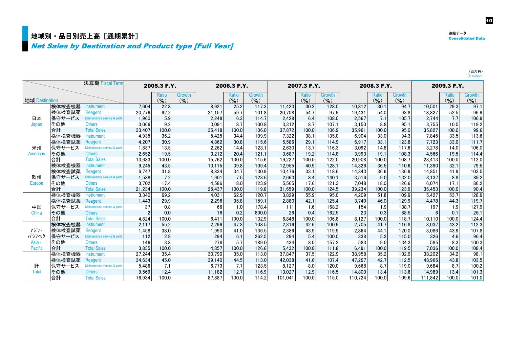## n<br>地域別·品目別売上高 [通期累計]

## **Net Sales by Destination and Product type [Full Year]**

|                 |        | 決算期 Fiscal Term             |                | 2005.3 F.Y.        |                     |        | 2006.3 F.Y.        |                     |         | 2007.3 F.Y.               |                     |         | 2008.3 F.Y.    |                     |         | 2009.3 F.Y.        |                     |
|-----------------|--------|-----------------------------|----------------|--------------------|---------------------|--------|--------------------|---------------------|---------|---------------------------|---------------------|---------|----------------|---------------------|---------|--------------------|---------------------|
| 地域 Destination  |        |                             |                | Ratio<br>$(9)_{0}$ | Growth<br>$($ % $)$ |        | Ratio<br>$($ % $)$ | Growth<br>$($ % $)$ |         | <b>Ratio</b><br>$(9)_{0}$ | Growth<br>$($ % $)$ |         | Ratio<br>(9/6) | Growth<br>$($ % $)$ |         | Ratio<br>$($ % $)$ | Growth<br>$($ % $)$ |
|                 | 検体検査機器 | Instrument                  | 7.604          | 22.8               |                     | 8,921  | 25.2               | 117.3               | 11,423  | 30.2                      | 128.0               | 10.812  | 30.1           | 94.7                | 10,501  | 29.3               | 97.1                |
|                 | 検体検査試薬 | Reagent                     | 20.776         | 62.2               |                     | 21.157 | 59.7               | 101.8               | 20.708  | 54.7                      | 97.9                | 19.431  | 54.0           | 93.8                | 18.827  | 52.5               | 96.9                |
| 日本              | 保守サービス | Maintenance service & parts | 1.960          | 5.9                |                     | 2,248  | 6.3                | 114.7               | 2,428   | 6.4                       | 108.0               | 2,567   | 7.1            | 105.7               | 2.744   | 7.7                | 106.9               |
| Japan           | その他    | <b>Others</b>               | 3,066          | 9.2                |                     | 3,091  | 8.7                | 100.8               | 3.312   | 8.7                       | 107.1               | 3,150   | 8.8            | 95.1                | 3.755   | 10.5               | 119.2               |
|                 | 合計     | <b>Total Sales</b>          | 33,407         | 100.0              |                     | 35,418 | 100.0              | 106.0               | 37.872  | 100.0                     | 106.9               | 35.961  | 100.0          | 95.0                | 35.827  | 100.0              | 99.6                |
|                 | 検体検査機器 | Instrument                  | 4.935          | 36.2               |                     | 5,425  | 34.4               | 109.9               | 7.322   | 38.1                      | 135.0               | 6.904   | 33.0           | 94.3                | 7.845   | 33.5               | 113.6               |
|                 | 検体検査試薬 | Reagent                     | 4,207          | 30.9               |                     | 4,862  | 30.8               | 115.6               | 5,586   | 29.1                      | 114.9               | 6,917   | 33.1           | 123.8               | 7,723   | 33.0               | 111.7               |
| 米州              | 保守サービス | Maintenance service & parts | 1.837          | 13.5               |                     | 2,262  | 14.4               | 123.1               | 2.630   | 13.7                      | 116.3               | 3.092   | 14.8           | 117.6               | 3,278   | 14.0               | 106.0               |
| <b>Americas</b> | その他    | <b>Others</b>               | 2.652          | 19.5               |                     | 3,212  | 20.4               | 121.1               | 3.687   | 19.2                      | 114.8               | 3.993   | 19.1           | 108.3               | 4.566   | 19.5               | 114.4               |
|                 | 合計     | <b>Total Sales</b>          | 13,633         | 100.0              |                     | 15,762 | 100.0              | 115.6               | 19,227  | 100.0                     | 122.0               | 20,908  | 100.0          | 108.7               | 23,413  | 100.0              | 112.0               |
|                 | 検体検査機器 | <b>Instrument</b>           | 9,245          | 43.5               |                     | 10,115 | 39.8               | 109.4               | 12.955  | 40.9                      | 128.1               | 14.326  | 36.5           | 110.6               | 11.390  | 32.1               | 79.5                |
|                 | 検体検査試薬 | Reagent                     | 6.747          | 31.8               |                     | 8,834  | 34.7               | 130.9               | 10.476  | 33.1                      | 118.6               | 14.343  | 36.6           | 136.9               | 14,851  | 41.9               | 103.5               |
| 欧州              | 保守サービス | Maintenance service & parts | 1,538          | 7.2                |                     | 1,901  | 7.5                | 123.6               | 2,663   | 8.4                       | 140.1               | 3,516   | 9.0            | 132.0               | 3,137   | 8.8                | 89.2                |
| <b>Europe</b>   | その他    | <b>Others</b>               | 3,702          | 17.4               |                     | 4,586  | 18.0               | 123.9               | 5.565   | 17.6                      | 121.3               | 7.048   | 18.0           | 126.6               | 6.074   | 17.1               | 86.2                |
|                 | 合計     | <b>Total Sales</b>          | 21,234         | 100.0              |                     | 25.437 | 100.0              | 119.8               | 31.659  | 100.0                     | 124.5               | 39.234  | 100.0          | 123.9               | 35,453  | 100.0              | 90.4                |
|                 | 検体検査機器 | Instrument                  | 3.340          | 69.2               |                     | 4,031  | 62.9               | 120.7               | 3.829   | 55.9                      | 95.0                | 4.209   | 51.8           | 109.9               | 5.427   | 53.7               | 128.9               |
|                 | 検体検査試薬 | Reagent                     | 1,443          | 29.9               |                     | 2,296  | 35.8               | 159.1               | 2,880   | 42.1                      | 125.4               | 3,740   | 46.0           | 129.9               | 4,478   | 44.3               | 119.7               |
| 中国              | 保守サービス | Maintenance service & parts | 37             | 0.8                |                     | 66     | 1.0                | 178.4               | 111     | 1.6                       | 168.2               | 154     | 1.9            | 138.7               | 197     | 1.9                | 127.9               |
| China           | その他    | <b>Others</b>               | $\mathfrak{p}$ | 0.0                |                     | 16     | 0.2                | 800.0               | 26      | 0.4                       | 162.5               | 23      | 0.3            | 88.5                |         | 0.1                | 26.1                |
|                 | 合計     | <b>Total Sales</b>          | 4.824          | 100.0              |                     | 6.411  | 100.0              | 132.9               | 6.848   | 100.0                     | 106.8               | 8.127   | 100.0          | 118.7               | 10.110  | 100.0              | 124.4               |
|                 | 検体検査機器 | Instrument                  | 2,117          | 55.2               |                     | 2,296  | 47.3               | 108.5               | 2,316   | 42.6                      | 100.9               | 2,705   | 41.7           | 116.8               | 3,037   | 43.2               | 112.3               |
| アジア・            | 検体検査試薬 | Reagent                     | 1,458          | 38.0               |                     | 1,990  | 41.0               | 136.5               | 2.386   | 43.9                      | 119.9               | 2,864   | 44.1           | 120.0               | 3,086   | 43.9               | 107.8               |
| パシフィック          | 保守サービス | Maintenance service & parts | 112            | 2.9                |                     | 294    | 6.1                | 262.5               | 294     | 5.4                       | 100.0               | 338     | 5.2            | 115.0               | 326     | 4.6                | 96.4                |
| Asia -          | その他    | <b>Others</b>               | 146            | 3.8                |                     | 276    | 5.7                | 189.0               | 434     | 8.0                       | 157.2               | 583     | 9.0            | 134.3               | 585     | 8.3                | 100.3               |
| Pacific         | 合計     | <b>Total Sales</b>          | 3,835          | 100.0              |                     | 4,857  | 100.0              | 126.6               | 5.432   | 100.0                     | 111.8               | 6.491   | 100.0          | 119.5               | 7.036   | 100.0              | 108.4               |
|                 | 検体検査機器 | <b>Instrument</b>           | 27,244         | 35.4               |                     | 30.790 | 35.0               | 113.0               | 37.847  | 37.5                      | 122.9               | 38,958  | 35.2           | 102.9               | 38.202  | 34.2               | 98.1                |
|                 | 検体検査試薬 | Reagent                     | 34,634         | 45.0               |                     | 39,140 | 44.5               | 113.0               | 42.038  | 41.6                      | 107.4               | 47,297  | 42.7           | 112.5               | 48,966  | 43.8               | 103.5               |
| 計               | 保守サービス | Maintenance service & parts | 5.486          | 7.1                |                     | 6,773  | 7.7                | 123.5               | 8,127   | 8.0                       | 120.0               | 9,668   | 8.7            | 119.0               | 9,684   | 8.7                | 100.2               |
| <b>Total</b>    | その他    | <b>Others</b>               | 9,569          | 12.4               |                     | 11.182 | 12.7               | 116.9               | 13.027  | 12.9                      | 116.5               | 14.800  | 13.4           | 113.6               | 14.989  | 13.4               | 101.3               |
|                 | 合計     | <b>Total Sales</b>          | 76.934         | 100.0              |                     | 87.887 | 100.0              | 114.2               | 101.041 | 100.0                     | 115.0               | 110.724 | 100.0          | 109.6               | 111.842 | 100.0              | 101.0               |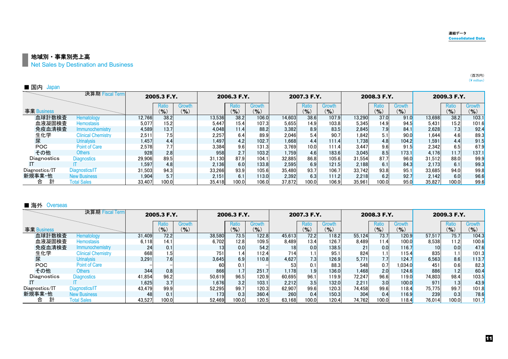11

■ 地域別・事業別売上高

**Net Sales by Destination and Business** 

| ■ 国内<br>Japan  |                           |        |                 |                 |        |                    |                            |        |                  |                                             |        |                    |                     |        |              |                         |
|----------------|---------------------------|--------|-----------------|-----------------|--------|--------------------|----------------------------|--------|------------------|---------------------------------------------|--------|--------------------|---------------------|--------|--------------|-------------------------|
|                | 決算期 Fiscal Term           |        | 2005.3 F.Y.     |                 |        | 2006.3 F.Y.        |                            |        | 2007.3 F.Y.      |                                             |        | 2008.3 F.Y.        |                     |        | 2009.3 F.Y.  |                         |
| 事業 Business    |                           |        | Ratio<br>$($ %) | Growth<br>(9/6) |        | Ratio<br>$($ % $)$ | <b>Growth</b><br>$(9)_{0}$ |        | Ratio<br>$($ %)  | <b>Growth</b><br>$\mathcal{O}_{\mathbf{O}}$ |        | Ratio<br>$($ % $)$ | Growth<br>$($ % $)$ |        | Ratio<br>(%) | <b>Growth</b><br>$($ %) |
| 血球計数検査         | Hematology                | 12.766 | 38.2            |                 | 13,536 | 38.2               | 106.0                      | 14.603 | 38.6             | 107.9                                       | 13,290 | 37.0               | 91.0                | 13.698 | 38.2         | 103.1                   |
| 血液凝固検査         | Hemostasis                | 5,077  | 15.2            |                 | 5,447  | 15.4               | 107.3                      | 5,655  | 14.9             | 103.8                                       | 5,345  | 14.9               | 94.5                | 5,431  | 15.2         | 101.6                   |
| 免疫血清検査         | Immunochemistry           | 4,589  | 13.7            |                 | 4,048  | 11.4               | 88.2                       | 3,382  | 8.9              | 83.5                                        | 2,845  | 7.9                | 84.1                | 2,628  | 7.3          | 92.4                    |
| 生化学            | <b>Clinical Chemistry</b> | 2,511  | 7.5             |                 | 2.257  | 6.4                | 89.9                       | 2.046  | 5.4 <sup>1</sup> | 90.7                                        | 1.842  | 5.1                | 90.0                | 1.644  | 4.6          | 89.3                    |
| 尿              | <b>Urinalysis</b>         | 1,457  | 4.4             |                 | 1.497  | 4.2                | 102.7                      | 1.668  | 4.4              | 111.4                                       | 1.738  | 4.8                | 104.2               | 1,591  | 4.4          | 91.5                    |
| <b>POC</b>     | Point of Care             | 2,578  | 7.7             |                 | 3,384  | 9.6                | 131.3                      | 3,769  | 10.0             | 111.4                                       | 3,447  | 9.6                | 91.5                | 2,342  | 6.5          | 67.9                    |
| その他            | <b>Others</b>             | 928    | 2.8             |                 | 958    | 2.7                | 103.2                      | 1,759  | 4.6              | 183.6                                       | 3,045  | 8.5                | 173.1               | 4.176  | 11.7         | 137.1                   |
| Diagnostics    | <b>Diagnostics</b>        | 29.906 | 89.5            |                 | 31.130 | 87.9               | 104.1                      | 32,885 | 86.8             | 105.6                                       | 31,554 | 87.7               | 96.0                | 31,512 | 88.0         | 99.9                    |
|                |                           | 1.597  | 4.8             |                 | 2.136  | 6.0                | 133.8                      | 2.595  | 6.9              | 121.5                                       | 2.188  | 6.1                | 84.3                | 2.173  | 6.1          | 99.3                    |
| Diagnostics/IT | Diagnostics/IT            | 31,503 | 94.3            |                 | 33,266 | 93.9               | 105.6                      | 35,480 | 93.7             | 106.7                                       | 33,742 | 93.8               | 95.1                | 33,685 | 94.0         | 99.8                    |
| 新規事業·他         | <b>New Business</b>       | .904   | 5.7             |                 | 2.151  | 6.1                | 113.0                      | 2,392  | 6.3              | 111.2                                       | 2,218  | 6.2                | 92.7                | 2.142  | 6.0          | 96.6                    |
| 合              | <b>Total Sales</b>        | 33.407 | 100.0           |                 | 35.418 | 100.0              | 106.0                      | 37.872 | 100.0            | 106.9                                       | 35.961 | 100.0              | 95.0                | 35.827 | 100.0        | 99.6                    |

#### ■ 海外 Overseas

|                | 決算期 Fiscal Term           |        | 2005.3 F.Y. |        |        | 2006.3 F.Y.   |               |        | 2007.3 F.Y.        |               |        | 2008.3 F.Y. |              |        | 2009.3 F.Y.      |               |
|----------------|---------------------------|--------|-------------|--------|--------|---------------|---------------|--------|--------------------|---------------|--------|-------------|--------------|--------|------------------|---------------|
|                |                           |        | Ratio       | Growth |        | Ratio         | <b>Growth</b> |        | Ratio              | <b>Growth</b> |        | Ratio       | Growth       |        | Ratio            | <b>Growth</b> |
| 事業 Business    |                           |        | $($ % $)$   | $($ %) |        | $\frac{9}{6}$ | $($ % $)$     |        | $(9)_{0}$          | $(9)_{0}$     |        | $(9)_{0}$   | (9/6)        |        | $\mathcal{O}_0$  | $($ % $)$     |
| 血球計数検査         | Hematology                | 31.409 | 72.2        |        | 38,580 | 73.5          | 122.8         | 45.613 | 72.2               | 118.2         | 55.124 | 73.7        | 120.9        | 57.517 | 75.7             | 104.3         |
| 血液凝固検査         | <b>Hemostasis</b>         | 6,118  | 14.1        |        | 6.702  | 12.8          | 109.5         | 8,489  | 13.4               | 126.7         | 8.489  | 11.4        | 100.0        | 8,538  | 11.2             | 100.6         |
| 免疫血清検査         | Immunochemistry           | 24     | 0.1         |        | 13     | 0.0           | 54.2          | 18     | 0.0                | 138.5         | 21     | 0.0         | 116.7        | 10     | 0.0              | 47.6          |
| 生化学            | <b>Clinical Chemistry</b> | 668    | 1.5         |        | 751    | 1.4           | 112.4         | 714    | $1.1$ <sup>1</sup> | 95.1          | 824    | 1.1         | 115.4        | 835    | 1.1              | 101.3         |
| 尿              | <b>Urinalysis</b>         | 3.291  | 7.6         |        | 3.645  | 6.9           | 110.8         | 4,627  | 7.3                | 126.9         | 5.771  | 7.7         | 124.7        | 6,563  | 8.6              | 113.7         |
| POC.           | <b>Point of Care</b>      |        |             |        | 60     | 0.1           |               | 53     | 0.1                | 88.3          | 548    | 0.7         | ,034.0       | 451    | 0.6              | 82.3          |
| その他            | <b>Others</b>             | 344    | 0.8         |        | 866    |               | 251.7         | 1.178  | 1.9                | 136.0         | 1,468  | 2.0         | 124.6        | 886    | 1.2              | 60.4          |
| Diagnostics    | <b>Diagnostics</b>        | 41.854 | 96.2        |        | 50,619 | 96.5          | 120.9         | 60.695 | 96.1               | 119.9         | 72,247 | 96.6        | <b>119.0</b> | 74,803 | 98.4             | 103.5         |
|                |                           | 1.625  | 3.7         |        | 1.676  | 3.2           | 103.1         | 2.212  | 3.5                | 132.0         | 2,211  | 3.0         | 100.0        | 971    | 1.3 <sub>1</sub> | 43.9          |
| Diagnostics/IT | Diagnostics/IT            | 43.479 | 99.9        |        | 52,295 | 99.7          | 120.3         | 62.907 | 99.6               | 120.3         | 74,458 | 99.6        | 118.4        | 75,775 | 99.7             | 101.8         |
| 新規事業·他         | <b>New Business</b>       | 48     | 0.1         |        | 173    | 0.3           | 360.4         | 260    | 0.4                | 150.3         | 304    | 0.4         | <b>116.9</b> | 239    | 0.3              | 78.6          |
| 計<br>合         | <b>Total Sales</b>        | 43.527 | 100.0       |        | 52.469 | 100.0         | 120.5         | 63.168 | 100.0              | 120.4         | 74.762 | 100.0       | 118.4        | 76,014 | 100.0            | 101.7         |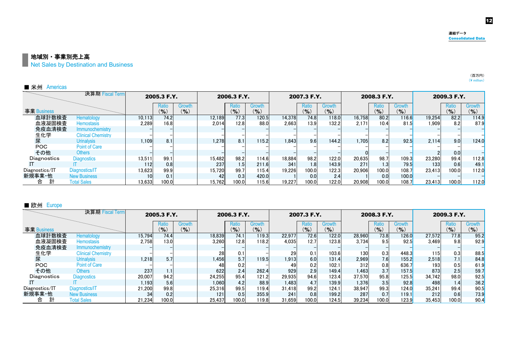12

#### 地域別·事業別売上高

**Net Sales by Destination and Business** 

| ■ 米州<br>Americas |                           |                 |                    |                                    |        |              |                     |        |                    |               |        |                |                     |        |                    |                            |
|------------------|---------------------------|-----------------|--------------------|------------------------------------|--------|--------------|---------------------|--------|--------------------|---------------|--------|----------------|---------------------|--------|--------------------|----------------------------|
|                  | 決算期 Fiscal Term           |                 | 2005.3 F.Y.        |                                    |        | 2006.3 F.Y.  |                     |        | 2007.3 F.Y.        |               |        | 2008.3 F.Y.    |                     |        | 2009.3 F.Y.        |                            |
| 事業 Business      |                           |                 | Ratio<br>$($ % $)$ | Growth<br>$\mathcal{O}_\mathbf{0}$ |        | Ratio<br>(9) | Growth<br>$($ % $)$ |        | Ratio<br>$($ % $)$ | Growth<br>(9) |        | Ratio<br>(9/6) | Growth<br>$(9)_{0}$ |        | Ratio<br>$(9)_{0}$ | <b>Growth</b><br>$($ % $)$ |
| 血球計数検査           | Hematology                | 10.113          | 74.2               |                                    | 12.189 | 77.3         | 120.5               | 14,378 | 74.8               | 118.0         | 16.758 | 80.2           | 116.6               | 19.254 | 82.2               | 114.9                      |
| 血液凝固検査           | <b>Hemostasis</b>         | 2.289           | 16.8               |                                    | 2.014  | 12.8         | 88.0                | 2.663  | 13.9               | 132.2         | 2.171  | 10.4           | 81.5                | 1.909  | 8.2                | 87.9                       |
| 免疫血清検査           | <b>Immunochemistry</b>    |                 |                    |                                    |        |              |                     |        |                    |               |        |                |                     |        |                    |                            |
| 生化学              | <b>Clinical Chemistry</b> |                 |                    |                                    |        |              |                     |        |                    |               |        |                |                     |        |                    |                            |
| 尿                | <b>Urinalysis</b>         | 1.109           | 8.1                |                                    | 1.278  | 8.1          | 115.2               | 1.843  | 9.6                | 144.2         | 1.705  | 8.2            | 92.5                | 2.114  | 9.0                | 124.0                      |
| <b>POC</b>       | <b>Point of Care</b>      |                 |                    |                                    |        |              |                     |        |                    |               |        |                |                     |        |                    |                            |
| その他              | <b>Others</b>             |                 |                    |                                    |        |              |                     |        |                    |               |        |                |                     |        | 0.0                |                            |
| Diagnostics      | <b>Diagnostics</b>        | 13,511          | 99.1               |                                    | 15,482 | 98.2         | 114.6               | 18,884 | 98.2               | 122.0         | 20,635 | 98.7           | 109.3               | 23,280 | 99.4               | 112.8                      |
|                  |                           | 112             | 0.8                |                                    | 237    | 1.5          | 211.6               | 341    | 1.8                | 143.9         | 271    | 1.3            | 79.5                | 133    | 0.6                | 49.1                       |
| Diagnostics/IT   | Diagnostics/IT            | 13.623          | 99.9               |                                    | 15.720 | 99.7         | 115.4               | 19.226 | 100.0              | 122.3         | 20.906 | 100.0          | 108.7               | 23.413 | 100.0              | 112.0                      |
| 新規事業·他           | <b>New Business</b>       | 10 <sub>1</sub> | 0.1                |                                    |        | 0.3          | 420.0               |        | 0.0                | 2.4           |        | 0.0            | 100.0               |        |                    |                            |
| 合                | <b>Total Sales</b>        | 13.633          | 100.0              |                                    | 15.762 | 100.0        | 115.6               | 19.227 | 100.0              | 122.0         | 20.908 | 100.0          | 108.7               | 23.413 | 100.0              | 112.0                      |

#### ■ 欧州 Europe

|                | 決算期 Fiscal Term           |        | 2005.3 F.Y.        |                     |        | 2006.3 F.Y.                   |                            |        | 2007.3 F.Y.               |                            |        | 2008.3 F.Y.        |                 |        | 2009.3 F.Y.        |                     |
|----------------|---------------------------|--------|--------------------|---------------------|--------|-------------------------------|----------------------------|--------|---------------------------|----------------------------|--------|--------------------|-----------------|--------|--------------------|---------------------|
| 事業 Business    |                           |        | Ratio<br>$(9)_{0}$ | Growth<br>$($ % $)$ |        | <b>Ratio</b><br>$\frac{9}{6}$ | <b>Growth</b><br>$($ % $)$ |        | <b>Ratio</b><br>$(9)_{0}$ | <b>Growth</b><br>$($ % $)$ |        | Ratio<br>$(9)_{0}$ | Growth<br>(9/6) |        | Ratio<br>$($ % $)$ | Growth<br>$($ % $)$ |
| 血球計数検査         | Hematology                | 15.794 | 74.4               |                     | 18,839 | 74.1                          | 119.3                      | 22,977 | 72.6                      | 122.0                      | 28,960 | 73.8               | 126.0           | 27.572 | 77.8               | 95.2                |
| 血液凝固検査         | <b>Hemostasis</b>         | 2,758  | 13.0               |                     | 3.260  | 12.8                          | 118.2                      | 4.035  | 12.7                      | 123.8                      | 3.734  | 9.5                | 92.5            | 3.469  | 9.8                | 92.9                |
| 免疫血清検査         | Immunochemistry           |        |                    |                     |        |                               |                            |        |                           |                            |        |                    |                 |        |                    |                     |
| 生化学            | <b>Clinical Chemistry</b> |        |                    |                     | 28     | 0.1                           |                            | 29     | 0.1                       | 103.6                      | 130    | 0.3                | 448.3           | 115    | 0.3                | 88.5                |
| 尿              | <b>Urinalysis</b>         | 1.218  | 5.7                |                     | 1.456  | 5.7                           | 119.5                      | 1.913  | 6.0                       | 131.4                      | 2.969  | 7.6                | 155.2           | 2,518  | 7.1                | 84.8                |
| <b>POC</b>     | Point of Care             |        |                    |                     |        | 0.2                           |                            | 49     | 0.2                       | 102.1                      | 312    | 0.8                | 636.7           | 193    | 0.5                | 61.9                |
| その他            | <b>Others</b>             | 237    | $1.1^{\circ}$      |                     | 622    | 2.4                           | 262.4                      | 929    | 2.9                       | 149.4                      | 1.463  | 3.7                | 157.5           | 873    | 2.5                | 59.7                |
| Diagnostics    | <b>Diagnostics</b>        | 20,007 | 94.2               |                     | 24,255 | 95.4                          | 121.2                      | 29.935 | 94.6                      | 123.4                      | 37.570 | 95.8               | 125.5           | 34.742 | 98.0               | 92.5                |
|                |                           | 1.193  | 5.6                |                     | 1.060  | 4.2                           | 88.9                       | 1.483  | 4.7                       | 139.9                      | 1.376  | 3.5                | 92.8            | 498    | 1.4                | 36.2                |
| Diagnostics/IT | Diagnostics/IT            | 21.200 | 99.8               |                     | 25.316 | 99.5                          | 119.4                      | 31.418 | 99.2                      | 124.1                      | 38.947 | 99.3               | 124.0           | 35.241 | 99.4               | 90.5                |
| 新規事業·他         | <b>New Business</b>       | 34     | 0.2                |                     | 121    | 0.5                           | 355.9                      | 241    | 0.8                       | 199.2                      | 287    | 0.7                | 119.1           | 212    | 0.6                | 73.9                |
| 合              | <b>Total Sales</b>        | 21.234 | 100.0              |                     | 25.437 | 100.0                         | 119.8                      | 31.659 | 100.0                     | 124.5                      | 39.234 | 100.0              | 123.9           | 35,453 | 100.0              | 90.4                |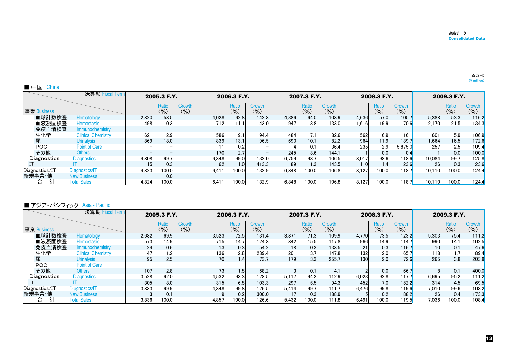| China<br>■ 中国  |                           |       |                    |                         |       |                |                            |       |                    |                     |       |                    |                   |        |                    |                      |
|----------------|---------------------------|-------|--------------------|-------------------------|-------|----------------|----------------------------|-------|--------------------|---------------------|-------|--------------------|-------------------|--------|--------------------|----------------------|
|                | 決算期 Fiscal Term           |       | 2005.3 F.Y.        |                         |       | 2006.3 F.Y.    |                            |       | 2007.3 F.Y.        |                     |       | 2008.3 F.Y.        |                   |        | 2009.3 F.Y.        |                      |
| 事業 Business    |                           |       | Ratio<br>$(9)_{0}$ | <b>Growth</b><br>$($ %) |       | Ratio<br>(9/6) | <b>Growth</b><br>$($ % $)$ |       | Ratio<br>$($ % $)$ | Growth<br>$($ % $)$ |       | Ratio<br>$($ % $)$ | Growth<br>$(\% )$ |        | Ratio<br>$($ % $)$ | <b>Growth</b><br>(%) |
| 血球計数検査         | Hematology                | 2,820 | 58.5               |                         | 4.028 | 62.8           | 142.8                      | 4,386 | 64.0               | 108.9               | 4.636 | 57.0               | 105.7             | 5,388  | 53.3               | 116.2                |
| 血液凝固検査         | <b>Hemostasis</b>         | 498   | 10.3               |                         | 712   | 11.1           | 143.0                      | 947   | 13.8               | 133.0               | 1.616 | 19.9               | 170.6             | 2.170  | 21.5               | 134.3                |
| 免疫血清検査         | Immunochemistry           |       |                    |                         |       |                |                            |       |                    |                     |       |                    |                   |        |                    |                      |
| 生化学            | <b>Clinical Chemistry</b> | 621   | 12.9               |                         | 586   | 9.1            | 94.4                       | 484   | 7.1                | 82.6                | 562   | 6.9                | 116.1             | 601    | 5.9                | 106.9                |
| 尿              | <b>Urinalysis</b>         | 869   | 18.0               |                         | 839   | 13.1           | 96.5                       | 690   | 10.1               | 82.2                | 964   | 11.9               | 139.7             | 1.664  | 16.5               | 172.6                |
| <b>POC</b>     | <b>Point of Care</b>      |       |                    |                         |       | 0.2            |                            |       | 0.1                | 36.4                | 235   | 2.9                | 5.875.0           | 257    | 2.5                | 109.4                |
| その他            | <b>Others</b>             |       |                    |                         | 170   | 2.71           |                            | 245   | 3.6                | 144.1               |       | 0.0                | 0.4               |        | 0.0                | 100.0                |
| Diagnostics    | <b>Diagnostics</b>        | 4,808 | 99.7               |                         | 6.348 | 99.0           | 132.0                      | 6.759 | 98.7               | 106.5               | 8,017 | 98.6               | 118.6             | 10,084 | 99.7               | 125.8                |
|                |                           | 15    | 0.3                |                         | 62    | 1.0            | 413.3                      | 89    | 1.3                | 143.5               | 110   | 1.4                | 123.6             | 26     | 0.3                | 23.6                 |
| Diagnostics/IT | Diagnostics/IT            | 4.823 | 100.0              |                         | 6.411 | 100.0          | 132.9                      | 6.848 | 100.0              | 106.8               | 8.127 | 100.0              | 118.7             | 10.110 | 100.0              | 124.4                |
| 新規事業·他         | <b>New Business</b>       |       | 0.0 <sub>l</sub>   |                         |       |                |                            |       |                    |                     |       |                    |                   |        |                    |                      |
| 合              | <b>Total Sales</b>        | 4,824 | 100.0              |                         | 6,411 | 100.0          | 132.9                      | 6.848 | 100.0              | 106.8               | 8.127 | 100.0              | 118.7             | 10.110 | 100.0              | 124.4                |

#### ■ アジア・パシフィック Asia - Pacific

|                | 決算期 Fiscal Term           |       | 2005.3 F.Y.               |                 |                 | 2006.3 F.Y.           |                            |       | 2007.3 F.Y.    |                     |                  | 2008.3 F.Y.               |                 |       | 2009.3 F.Y.    |                            |
|----------------|---------------------------|-------|---------------------------|-----------------|-----------------|-----------------------|----------------------------|-------|----------------|---------------------|------------------|---------------------------|-----------------|-------|----------------|----------------------------|
| 事業 Business    |                           |       | <b>Ratio</b><br>$(9)_{0}$ | Growth<br>(9/6) |                 | <b>Ratio</b><br>(9/6) | <b>Growth</b><br>$($ % $)$ |       | Ratio<br>(9/6) | Growth<br>$($ % $)$ |                  | <b>Ratio</b><br>$($ % $)$ | Growth<br>(9/6) |       | Ratio<br>(9/6) | <b>Growth</b><br>$($ % $)$ |
| 血球計数検査         | Hematology                | 2,682 | 69.9                      |                 | 3,523           | 72.5                  | 131.4                      | 3,871 | 71.3           | 109.9               | 4.770            | 73.5                      | 123.2           | 5,303 | 75.4           | 111.2                      |
| 血液凝固検査         | <b>Hemostasis</b>         | 573   | 14.9                      |                 | 715             | 14.7                  | 124.8                      | 842   | 15.5           | 117.8               | 966              | 14.9                      | 114.7           | 990   | 14.1           | 102.5                      |
| 免疫血清検査         | Immunochemistry           | 24    | 0.6                       |                 | 13              | 0.3                   | 54.2                       | 18    | 0.3            | 138.5               | 21               | 0.3                       | 116.7           | 10    | 0.1            | 47.6                       |
| 生化学            | <b>Clinical Chemistry</b> | 47    |                           |                 | 136             | 2.8                   | 289.4                      | 201   | 3.7            | 147.8               | 132 <sub>1</sub> | 2.0                       | 65.7            | 118   |                | 89.4                       |
| 尿              | <b>Urinalysis</b>         | 95    | 2.5                       |                 | 70 <sup>1</sup> | 1.41                  | 73.7                       | 179   | 3.3            | 255.7               | 130              | 2.0                       | 72.6            | 265   | 3.8            | 203.8                      |
| <b>POC</b>     | Point of Care             |       |                           |                 |                 |                       |                            |       |                |                     |                  |                           |                 |       |                |                            |
| その他            | <b>Others</b>             | 107   | 2.81                      |                 | 73              | 1.5                   | 68.2                       |       | 0.1            | 4.1                 |                  | 0.0                       | 66.7            |       | 0.1            | 400.0                      |
| Diagnostics    | <b>Diagnostics</b>        | 3,528 | 92.0                      |                 | 4,532           | 93.3                  | 128.5                      | 5,117 | 94.2           | 112.9               | 6.023            | 92.8                      | 117.7           | 6,695 | 95.2           | 111.2                      |
|                |                           | 305   | 8.0                       |                 | 315             | 6.5                   | 103.3                      | 297   | 5.5            | 94.3                | 452              | 7.0                       | 152.2           | 314   | 4.5            | 69.5                       |
| Diagnostics/IT | Diagnostics/IT            | 3.833 | 99.9                      |                 | 4.848           | 99.8                  | 126.5                      | 5.414 | 99.7           | 111.7               | 6.476            | 99.8                      | 119.6           | 7,010 | 99.6           | 108.2                      |
| 新規事業·他         | <b>New Business</b>       |       | 0.1                       |                 |                 | 0.2                   | 300.0                      |       | 0.3            | 188.9               | 15               | 0.2                       | 88.2            | 26    | 0.4            | 173.3                      |
| 計<br>合         | <b>Total Sales</b>        | 3.836 | 100.0                     |                 | 4.857           | 100.0                 | 126.6                      | 5.432 | 100.0          | 111.8               | 6.491            | 100.0                     | 119.5           | 7,036 | 100.0          | 108.4                      |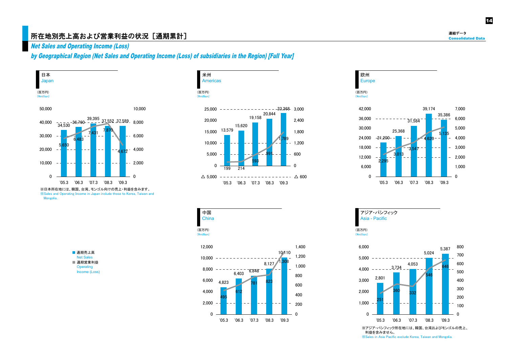## 所在地別売上高および営業利益の状況[通期累計] $\Phi^*$

Net Sales and Operating Income (Loss)

by Geographical Region (Net Sales and Operating Income (Loss) of subsidiaries in the Region) [Full Year]



 $\overline{ }$  Mongolia.









アジア・パシフィック Asia - Pacific

14

利益を含みません。 <del></del>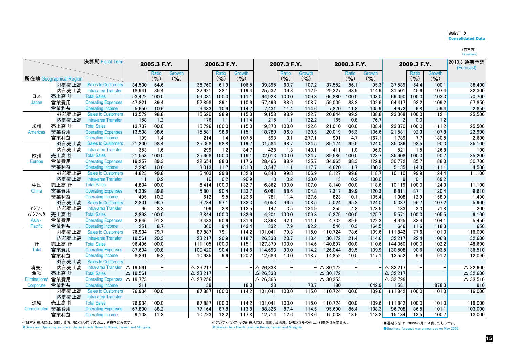#### 連結データ

Consolidated Data

|               |                         | 決算期 Fiscal Term           |                    | 2005.3 F.Y.  |               |                    | 2006.3 F.Y.  |        |                    | 2007.3 F.Y.  |               |                    | 2008.3 F.Y.  |               |                    | 2009.3 F.Y. |               | 2010.3 通期予想<br>(Forecast) |
|---------------|-------------------------|---------------------------|--------------------|--------------|---------------|--------------------|--------------|--------|--------------------|--------------|---------------|--------------------|--------------|---------------|--------------------|-------------|---------------|---------------------------|
|               |                         |                           |                    | <b>Ratio</b> | <b>Growth</b> |                    | <b>Ratio</b> | Growth |                    | <b>Ratio</b> | <b>Growth</b> |                    | <b>Ratio</b> | <b>Growth</b> |                    | Ratio       | <b>Growth</b> |                           |
|               | 所在地 Geographical Region |                           |                    | $($ % $)$    | (9/6)         |                    | $($ % $)$    | (9/6)  |                    | $(9)_{0}$    | $($ % $)$     |                    | (9/6)        | $($ % $)$     |                    | (9)         | $($ % $)$     |                           |
|               | 外部売上高                   | <b>Sales to Customers</b> | 34.530             | 64.6         |               | 36.760             | 61.9         | 106.5  | 39.395             | 60.7         | 107.2         | 37,552             | 56.1         | 95.3          | 37,589             | 54.4        | 100.1         | 38,400                    |
|               | 内部売上高                   | Intra-area Transfer       | 18,941             | 35.4         |               | 22,621             | 38.1         | 119.4  | 25,532             | 39.3         | 112.9         | 29,327             | 43.9         | 114.9         | 31,501             | 45.6        | 107.4         | 32,300                    |
| 日本            | 売上高 計                   | <b>Total Sales</b>        | 53,472             | 100.0        |               | 59,381             | 100.0        | 111.1  | 64.928             | 100.0        | 109.3         | 66,880             | 100.0        | 103.0         | 69.090             | 100.0       | 103.3         | 70,700                    |
| Japan         | 営業費用                    | <b>Operating Expenses</b> | 47,821             | 89.4         |               | 52,898             | 89.1         | 110.6  | 57.496             | 88.6         | 108.7         | 59,009             | 88.2         | 102.6         | 64,417             | 93.2        | 109.2         | 67,850                    |
|               | 営業利益                    | Operating Income          | 5,650              | 10.6         |               | 6,483              | 10.9         | 114.7  | 7,431              | 11.4         | 114.6         | 7,870              | 11.8         | 105.9         | 4,672              | 6.8         | 59.4          | 2,850                     |
|               | 外部売上高                   | <b>Sales to Customers</b> | 13,579             | 98.8         |               | 15,620             | 98.9         | 115.0  | 19,158             | 98.9         | 122.7         | 20,844             | 99.2         | 108.8         | 23,368             | 100.0       | 112.1         | 25,500                    |
|               | 内部売上高                   | Intra-area Transfer       | 158                | 1.2          |               | 176                | 1.1          | 111.4  | 215                | 1.1          | 122.2         | 165                | 0.8          | 76.7          | 2                  | 0.0         | 1.2           |                           |
| 米州            | 売上高 計                   | <b>Total Sales</b>        | 13,737             | 100.0        |               | 15,796             | 100.0        | 115.0  | 19,373             | 100.0        | 122.6         | 21,010             | 100.0        | 108.4         | 23,370             | 100.0       | 111.2         | 25,500                    |
| Americas      | 営業費用                    | <b>Operating Expenses</b> | 13,538             | 98.6         |               | 15,581             | 98.6         | 115.1  | 18,780             | 96.9         | 120.5         | 20,019             | 95.3         | 106.6         | 21,581             | 92.3        | 107.8         | 22,900                    |
|               | 営業利益                    | <b>Operating Income</b>   | 199                | 1.4          |               | 214                | 1.4          | 107.5  | 593                | 3.1          | 277.1         | 991                | 4.7          | 167.1         | 1,789              | 7.7         | 180.5         | 2,600                     |
|               | 外部売上高                   | <b>Sales to Customers</b> | 21,200             | 98.4         |               | 25,368             | 98.8         | 119.7  | 31,584             | 98.7         | 124.5         | 39,174             | 99.0         | 124.0         | 35,386             | 98.5        | 90.3          | 35,100                    |
|               | 内部売上高                   | Intra-area Transfer       | 353                | 1.6          |               | 299                | 1.2          | 84.7   | 428                | 1.3          | 143.1         | 411                | 1.0          | 96.0          | 521                | 1.5         | 126.8         | 100                       |
| 欧州            | 売上高 計                   | <b>Total Sales</b>        | 21,553             | 100.0        |               | 25,668             | 100.0        | 119.1  | 32.013             | 100.0        | 124.7         | 39.586             | 100.0        | 123.7         | 35,908             | 100.0       | 90.7          | 35,200                    |
| <b>Europe</b> | 営業費用                    | <b>Operating Expenses</b> | 19,257             | 89.3         |               | 22,654             | 88.3         | 117.6  | 28.466             | 88.9         | 125.7         | 34.965             | 88.3         | 122.8         | 30.772             | 85.7        | 88.0          | 30,700                    |
|               | 営業利益                    | <b>Operating Income</b>   | 2,295              | 10.6         |               | 3,013              | 11.7         | 131.3  | 3,547              | 11.1         | 117.7         | 4,620              | 11.7         | 130.3         | 5,135              | 14.3        | 111.1         | 4,500                     |
|               | 外部売上高                   | <b>Sales to Customers</b> | 4,823              | 99.8         |               | 6,403              | 99.8         | 132.8  | 6,848              | 99.8         | 106.9         | 8,127              | 99.8         | 118.7         | 10,110             | 99.9        | 124.4         | 11,100                    |
|               | 内部売上高                   | Intra-area Transfer       | 11                 | 0.2          |               | 10                 | 0.2          | 90.9   | 13                 | 0.2          | 130.0         | 13                 | 0.2          | 100.0         | 9                  | 0.1         | 69.2          |                           |
| 中国            | 売上高 計                   | <b>Total Sales</b>        | 4,834              | 100.0        |               | 6.414              | 100.0        | 132.7  | 6,862              | 100.0        | 107.0         | 8.140              | 100.0        | 118.6         | 10,119             | 100.0       | 124.3         | 11,100                    |
| China         | 営業費用                    | <b>Operating Expenses</b> | 4,339              | 89.8         |               | 5,801              | 90.4         | 133.7  | 6,081              | 88.6         | 104.8         | 7,317              | 89.9         | 120.3         | 8,811              | 87.1        | 120.4         | 9,610                     |
|               | 営業利益                    | <b>Operating Income</b>   | 495                | 10.2         |               | 612                | 9.5          | 123.6  | 781                | 11.4         | 127.6         | 823                | 10.1         | 105.4         | 1,308              | 12.9        | 158.9         | 1,490                     |
|               | 外部売上高                   | <b>Sales to Customers</b> | 2,801              | 96.7         |               | 3,734              | 97.1         | 133.3  | 4,053              | 96.5         | 108.5         | 5,024              | 95.2         | 124.0         | 5,387              | 96.7        | 107.2         | 5,900                     |
| アジア・          | 内部売上高                   | Intra-area Transfer       | 96                 | 3.3          |               | 109                | 2.8          | 113.5  | 147                | 3.5          | 134.9         | 255                | 4.8          | 173.5         | 183                | 3.3         | 71.8          | 200                       |
| パシフィック        | 売上高 計                   | <b>Total Sales</b>        | 2,898              | 100.0        |               | 3.844              | 100.0        | 132.6  | 4,201              | 100.0        | 109.3         | 5,279              | 100.0        | 125.7         | 5,571              | 100.0       | 105.5         | 6,100                     |
| Asia -        | 営業費用                    | <b>Operating Expenses</b> | 2,646              | 91.3         |               | 3.483              | 90.6         | 131.6  | 3.868              | 92.1         | 111.1         | 4,732              | 89.6         | 122.3         | 4.925              | 88.4        | 104.1         | 5,450                     |
| Pacific       | 営業利益                    | <b>Operating Income</b>   | 251                | 8.7          |               | 360                | 9.4          | 143.4  | 332                | 7.9          | 92.2          | 546                | 10.3         | 164.5         | 646                | 11.6        | 118.3         | 650                       |
|               | 外部売上高                   | <b>Sales to Customers</b> | 76,934             | 79.7         |               | 87,887             | 79.1         | 114.2  | 101.041            | 79.3         | 115.0         | 110,724            | 78.6         | 109.6         | 111.842            | 77.6        | 101.0         | 116,000                   |
|               | 内部売上高                   | Intra-area Transfer       | 19.561             | 20.3         |               | 23,217             | 20.9         | 118.7  | 26.338             | 20.7         | 113.4         | 30.172             | 21.4         | 114.6         | 32,217             | 22.4        | 106.8         | 32,600                    |
| 計             | 売上高 計                   | <b>Total Sales</b>        | 96.496             | 100.0        |               | 111,105            | 100.0        | 115.1  | 127.379            | 100.0        | 114.6         | 140,897            | 100.0        | 110.6         | 144.060            | 100.0       | 102.2         | 148,600                   |
| <b>Total</b>  | 営業費用                    | <b>Operating Expenses</b> | 87,604             | 90.8         |               | 100,420            | 90.4         | 114.6  | 114.693            | 90.0         | 114.2         | 126,044            | 89.5         | 109.9         | 130,508            | 90.6        | 103.5         | 136,510                   |
|               | 営業利益                    | <b>Operating Income</b>   | 8,891              | 9.2          |               | 10,685             | 9.6          | 120.2  | 12,686             | 10.0         | 118.7         | 14,852             | 10.5         | 117.1         | 13,552             | 9.4         | 91.2          | 12,090                    |
|               | 外部売上高                   | <b>Sales to Customers</b> |                    |              |               |                    |              |        |                    |              |               |                    |              |               |                    |             |               |                           |
| 消去/           | 内部売上高                   | Intra-area Transfer       | $\Delta$ 19,561    |              |               | $\triangle$ 23,217 |              |        | $\triangle$ 26,338 |              |               | $\triangle$ 30,172 |              |               | $\triangle$ 32,217 |             |               | $\triangle$ 32,600        |
| 全社            | 売上高 計                   | <b>Total Sales</b>        | $\triangle$ 19,561 |              |               | $\triangle$ 23,217 |              |        | $\triangle$ 26,338 |              |               | $\triangle$ 30,172 |              |               | $\triangle$ 32,217 |             |               | $\triangle$ 32,600        |
| Eliminations/ | 営業費用                    | <b>Operating Expenses</b> | △ 19.773           |              |               | $\triangle$ 23,256 |              |        | $\Delta$ 26.366    |              |               | $\triangle$ 30.353 |              |               | $\triangle$ 33,799 |             |               | $\triangle$ 33,510        |
| Corporate     | 営業利益                    | <b>Operating Income</b>   | 211                |              |               | 38                 |              | 18.0   | 28                 |              | 73.7          | 180                |              | 642.9         | 1.581              |             | 878.3         | 910                       |
|               | 外部売上高                   | <b>Sales to Customers</b> | 76,934             | 100.0        |               | 87,887             | 100.0        | 114.2  | 101,041            | 100.0        | 115.0         | 110,724            | 100.0        | 109.6         | 111.842            | 100.0       | 101.0         | 116,000                   |
|               | 内部売上高                   | Intra-area Transfer       |                    |              |               |                    |              |        |                    |              |               |                    |              |               |                    |             |               |                           |
| 連結            | 売上高 計                   | <b>Total Sales</b>        | 76.934             | 100.0        |               | 87,887             | 100.0        | 114.2  | 101.041            | 100.0        | 115.0         | 110.724            | 100.0        | 109.6         | 111.842            | 100.0       | 101.0         | 116,000                   |
| Consolidated  | 営業費用                    | <b>Operating Expenses</b> | 67,830             | 88.2         |               | 77,164             | 87.8         | 113.8  | 88,326             | 87.4         | 114.5         | 95,690             | 86.4         | 108.3         | 96,708             | 86.5        | 101.1         | 103,000                   |
|               | 営業利益                    | <b>Operating Income</b>   | 9,103              | 11.8         |               | 10,723             | 12.2         | 117.8  | 12,714             | 12.6         | 118.6         | 15,033             | 13.6         | 118.2         | 15,134             | 13.5        | 100.7         | 13,000                    |

※日本所在地には、韓国、台湾、モンゴル向けの売上、利益を含みます。 <del><del>∩</del> ∀ BLICHIN INTERNATION<br>
<del></del> *X*Sales and Operating Income in Japan include those to Korea, Taiwan and Mongolia.</del>

※アジア・パシフィック所在地には、韓国、台湾およびモンゴルの売上、利益を含みません。 㶎㪪㪸㫃㪼㫊㩷㫀㫅㩷㪘㫊㫀㪸㩷㪧㪸㪺㫀㪽㫀㪺㩷㪼㫏㪺㫃㫌㪻㪼㩷㪢㫆㫉㪼㪸㪃㩷㪫㪸㫀㫎㪸㫅㩷㪸㫅㪻㩷㪤㫆㫅㪾㫆㫃㫀㪸㪅

●通期予想は、2009年5月に公表したものです。 **●Business forecast was announced on May 2009.** 

15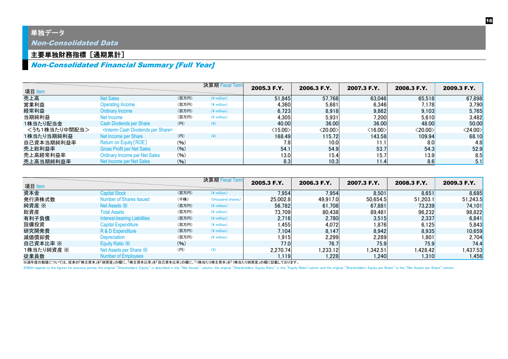## 単独データ

Non-Consolidated Data

## 主要単独財務指標[通期累計]

## Non-Consolidated Financial Summary [Full Year]

| 項目 Item       |                                                          |       | 決算期 Fiscal Term         | 2005.3 F.Y.             | 2006.3 F.Y.   | 2007.3 F.Y.             | 2008.3 F.Y.             | 2009.3 F.Y.             |
|---------------|----------------------------------------------------------|-------|-------------------------|-------------------------|---------------|-------------------------|-------------------------|-------------------------|
| 売上高           | <b>Net Sales</b>                                         | (百万円) | $(*)$ million)          | 51,845                  | 57,768        | 63,046                  | 65,518                  | 67,898                  |
| 営業利益          | <b>Operating Income</b>                                  | (百万円) | $(*$ million)           | 4,360                   | 5,681         | 6.346                   | 7.178                   | 3,790                   |
| 経常利益          | Ordinary Income                                          | (百万円) | $(*$ million)           | 6,723                   | 8,918         | 9,862                   | 9,103                   | 5,765                   |
| 当期純利益         | Net Income                                               | (百万円) | $(\frac{4}{3})$ million | 4,305                   | 5,931         | 7,200                   | 5,610                   | 3,482                   |
| 1株当たり配当金      | <b>Cash Divdends per Share</b>                           | (円)   | $(\c{4})$               | 40.00                   | 36.00         | 36.00                   | 48.00                   | 50.00                   |
| <うち1株当たり中間配当> | <interim cash="" dividends="" per="" share=""></interim> |       |                         | $\langle 15.00 \rangle$ | $<$ 20.00 $>$ | $\langle 16.00 \rangle$ | $\langle 20.00 \rangle$ | $\langle 24.00 \rangle$ |
| 1株当たり当期純利益    | Net Income per Share                                     | (円)   | $(\c{4})$               | 168.49                  | 115.72        | 143.58                  | 109.94                  | 68.10                   |
| 自己資本当期純利益率    | Return on Equity [ROE]                                   | (96)  |                         | 7.8                     | 10.0          | 11.1                    | 8.0                     | 4.8                     |
| 売上総利益率        | <b>Gross Profit per Net Sales</b>                        | (96)  |                         | 54.1                    | 54.9          | 53.7                    | 54.3                    | 52.9                    |
| 売上高経常利益率      | <b>Ordinary Income per Net Sales</b>                     | (96)  |                         | 13.0                    | 15.4          | 15.7                    | 13.9                    | 8.5                     |
| 売上高当期純利益率     | Net Income per Net Sales                                 | (96)  |                         | 8.3                     | 10.3          | 11.4                    | 8.6                     | 5.1                     |

| 項目 Item    |                                     |       | 決算期 Fiscal Term   | 2005.3 F.Y. | 2006.3 F.Y. | 2007.3 F.Y. | 2008.3 F.Y. | 2009.3 F.Y. |
|------------|-------------------------------------|-------|-------------------|-------------|-------------|-------------|-------------|-------------|
| 資本金        | <b>Capital Stock</b>                | (百万円) | $(*)$ million)    | 7,954       | 7,954       | 8,501       | 8,651       | 8,685       |
| 発行済株式数     | Number of Shares Issued             | (千株)  | (thousand shares) | 25,002.8    | 49.917.0    | 50.654.5    | 51,203.1    | 51,243.5    |
| 純資産 ※      | Net Assets $\mathbb{X}$             | (百万円) | $(*)$ million)    | 56,782      | 61.708      | 67.881      | 73,239      | 74,101      |
| 総資産        | <b>Total Assets</b>                 | (百万円) | $(*)$ million)    | 73,709      | 80.438      | 89,481      | 96,232      | 98,822      |
| 有利子負債      | <b>Interest-bearing Liabilities</b> | (百万円) | $(*$ million)     | 2,716       | 2,780       | 3,515       | 2,337       | 6,841       |
| 設備投資       | <b>Capital Expenditure</b>          | (百万円) | $(*$ million)     | 1,455       | 4,072       | 1,876       | 6,125       | 5,843       |
| 研究開発費      | R & D Expenditure                   | (百万円) | $(*$ million)     | 7.104       | 8.147       | 8.942       | 8,935       | 10,659      |
| 減価償却費      | Depreciation                        | (百万円) | $(*$ million)     | 1,915       | 2,299       | 2,289       | 1,801       | 2,704       |
| 自己資本比率 ※   | Equity Ratio X                      | (96)  |                   | 77.0        | 76.7        | 75.9        | 75.9        | 74.4        |
| 1株当たり純資産 ※ | Net Assets per Share X              | (円)   | $(\yen)$          | 2.270.74    | 1.233.121   | 1.342.51    | 1,428.42    | ,437.53     |
| 従業員数       | <b>Number of Employees</b>          |       |                   | 1.119       | .228        | 1.240       | 1,310       | 1,456       |

※過年度の数値については、従来の「株主資本」を「純酒に、「株主資本比率」を「自己資本比率」の欄に、「1株当たり株主資本」を「1株当たり純資産」の欄に記載しております。

XWith regards to the figures for previous period, the original "Shareholders' Equity" is described in the "Net Assets" column, the original "Shareholders' Equity Ratio" in the "Equity Ratio" column and the original "Shareh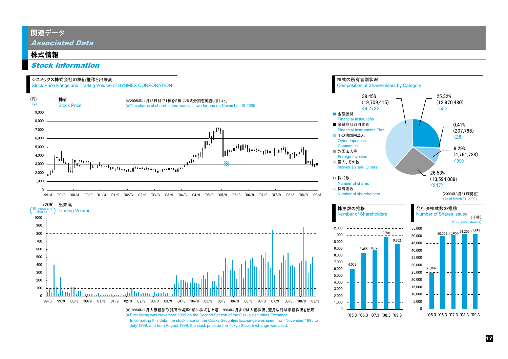## 関連データ

Associated Data

#### 株式情報

#### Stock Information

#### シスメックス株式会社の株価推移と出来高

Stock Price Range and Trading Volume of SYSMEX CORPORATION



July 1996, and from August 1996, the stock price on the Tokyo Stock Exchange was used.

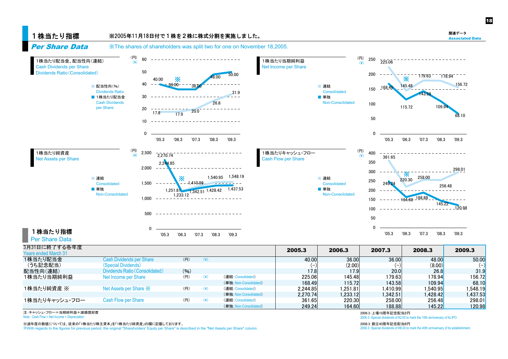関連データ Associated Data 18

#### 1株当たり指標 Per Share Data

#### ※2005年11月18日付で1株を2株に株式分割を実施しました。





| 3月31日に終了する各年度               |                                 |      |           |                        | 2005.3   | 2006.3   | 2007.3   | 2008.3                | 2009.3   |
|-----------------------------|---------------------------------|------|-----------|------------------------|----------|----------|----------|-----------------------|----------|
| <b>Years ended March 31</b> |                                 |      |           |                        |          |          |          |                       |          |
| 1株当たり配当金                    | <b>Cash Dividends per Share</b> | (円)  | $(\c{4})$ |                        | 40.00    | 36.00    | 36.00    | 48.00                 | 50.00    |
| (うち記念配当)                    | (Special Dividends)             |      |           |                        |          | (2.00)   |          | (8.00)                | $(-)$    |
| 配当性向(連結)                    | Dividends Ratio (Consolidated)  | (96) |           |                        | 17.8     | 17.9     | 20.0     | 26.8                  | 31.9     |
| 1株当たり当期純利益                  | Net Income per Share            | (円)  | $(\c{})$  | (連結:Consolidated)      | 225.06   | 145.48   | 179.63   | 178.94 <mark>1</mark> | 156.72   |
|                             |                                 |      |           | (単独: Non-Consolidated) | 168.49   | 115.72   | 143.58   | 109.94                | 68.10    |
| 1株当たり純資産 ※                  | Net Assets per Share X          | (円)  | $(\yen)$  | (連結:Consolidated)      | 2.244.85 | .251.81  | 1.410.99 | l.540.95l             | .548.19  |
|                             |                                 |      |           | (単独: Non-Consolidated) | 2.270.74 | 1.233.12 | 1.342.51 | 1.428.42              | 1,437.53 |
| 1株当たりキャッシュ・フロー              | <b>Cash Flow per Share</b>      | (円)  | $(\yen)$  | (連結:Consolidated)      | 361.65   | 220.30   | 258.00   | 256.48                | 298.01   |
|                             |                                 |      |           | (単独: Non-Consolidated) | 249.24   | 164.60   | 188.88   | 145.22                | 120.98   |

ᵈ䋺䉨䊞䉾䉲䊠䊶䊐䊨䊷䋽ᒰᦼ⚐⋉䋫ᷫଔఘළ⾌ 㪉㪇㪇㪍㪅㪊䋺႐㪈㪇ᐕ⸥ᔨ㈩ᒰ䋲

※過年度の数値については、従来の「1株当たり株主資本」を「1株当たり純資産」の欄に記載しております。<br>※With recards to the figures for previous period, the original "Shareholders' Equity per Share" is described in the "Net Assets per Share" column. With regards to the figures for previous period, the original "Shareholders' Equity per Share" is described in the "Net Assets per Share" column

Note : Cash Flow = Net Income + Depreciation 2006.3 Special dividends of ¥2.00 to mark the 10th anniversary of its IPO.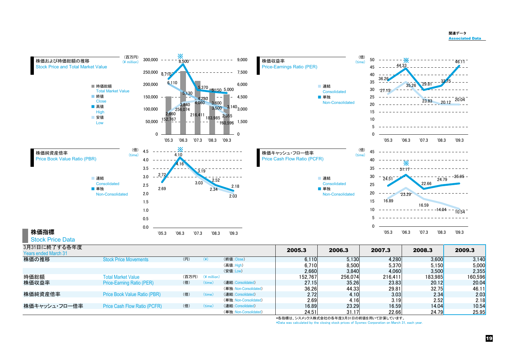

ᩣଔ⚐⾗↥₸ Price Book Value Ratio (PBR) 䋨䋩 䋨㫋㫀㫄㪼䋩 䋨ㅪ⚿䋺Consolidated<sup>䋩</sup> 㪉㪅㪎㪉 㪋㪅㪈㪇 㪊㪅㪇㪊 㪉㪅㪊㪋 㪉㪅㪇㪊

株価キャッシュ・フロー倍率 Price Cash Flow Ratio (PCFR) 〈倍〉 〈time〉 16.89 16.59 14.04 10.54

䋨න⁛䋺Non-Consolidated䋩 㪊㪍㪅㪉㪍 㪋㪋㪅㪊㪊 㪉㪐㪅㪏㪈 㪊㪉㪅㪎㪌 㪋㪍㪅㪈㪈

○ <u>(単独:Non-Consolidated</u>) 2.69 4.16 3.19 2.52 2.18

○ (単独: Non-Consolidated) 24.51 31.17 22.66 24.79 25.95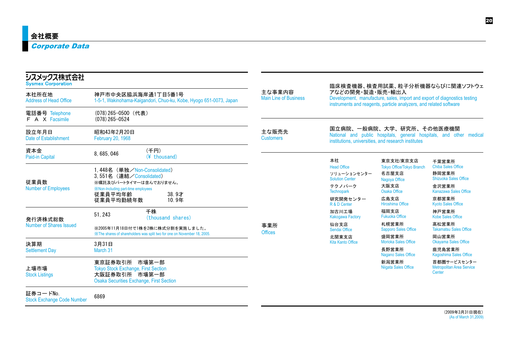| シスメックス株式会社<br><b>Sysmex Corporation</b>                                                                                                                                                                                                                                                                                                                                                                                                                                                                                       |                                                                                                                                   |                                        | 臨床検査機器、検査用試薬、粒子分析機器ならびに関連ソフトウェ                                                                                                                                      |                                                                                           |                                                                                                             |  |
|-------------------------------------------------------------------------------------------------------------------------------------------------------------------------------------------------------------------------------------------------------------------------------------------------------------------------------------------------------------------------------------------------------------------------------------------------------------------------------------------------------------------------------|-----------------------------------------------------------------------------------------------------------------------------------|----------------------------------------|---------------------------------------------------------------------------------------------------------------------------------------------------------------------|-------------------------------------------------------------------------------------------|-------------------------------------------------------------------------------------------------------------|--|
| 本社所在地<br>神戸市中央区脇浜海岸通1丁目5番1号<br><b>Address of Head Office</b><br>1-5-1, Wakinohama-Kaigandori, Chuo-ku, Kobe, Hyogo 651-0073, Japan                                                                                                                                                                                                                                                                                                                                                                                            |                                                                                                                                   | 主な事業内容<br><b>Main Line of Business</b> | アなどの開発・製造・販売・輸出入<br>Development, manufacture, sales, import and export of diagnostics testing<br>instruments and reagents, particle analyzers, and related software |                                                                                           |                                                                                                             |  |
| 電話番号 Telephone<br><b>F</b> A X Facsimile                                                                                                                                                                                                                                                                                                                                                                                                                                                                                      | (078)265-0500 (代表)<br>$(078)$ 265-0524                                                                                            |                                        |                                                                                                                                                                     |                                                                                           |                                                                                                             |  |
| 設立年月日<br>Date of Establishment                                                                                                                                                                                                                                                                                                                                                                                                                                                                                                | 昭和43年2月20日<br>February 20, 1968                                                                                                   | 主な販売先<br><b>Customers</b>              |                                                                                                                                                                     | 国立病院、一般病院、大学、研究所、その他医療機関<br>institutions, universities, and research institutes           | National and public hospitals, general hospitals, and other medical                                         |  |
| 資本金<br>Paid-in Capital                                                                                                                                                                                                                                                                                                                                                                                                                                                                                                        | (千円)<br>8, 685, 046<br>(¥ thousand)                                                                                               |                                        | 本社                                                                                                                                                                  | 東京支社/東京支店                                                                                 | 千葉営業所                                                                                                       |  |
| 従業員数                                                                                                                                                                                                                                                                                                                                                                                                                                                                                                                          | 1.448名 (単独/Non-Consolidated)<br>3.551名 (連結/Consolidated)<br>※嘱託及びパートタイマーは含んでおりません。<br><b>X: Non-Including part-time employees</b> |                                        | <b>Head Office</b><br>ソリューションセンター<br><b>Solution Center</b><br>テクノパーク<br><b>Technopark</b>                                                                          | <b>Tokyo Office/Tokyo Branch</b><br>名古屋支店<br>Nagoya Office<br>大阪支店<br><b>Osaka Office</b> | <b>Chiba Sales Office</b><br>静岡営業所<br><b>Shizuoka Sales Office</b><br>金沢営業所<br><b>Kanazawa Sales Office</b> |  |
|                                                                                                                                                                                                                                                                                                                                                                                                                                                                                                                               | 従業員平均勤続年数<br>10.9年                                                                                                                |                                        | 研究開発センター<br>R & D Center                                                                                                                                            | 広島支店<br>Hiroshima Office                                                                  | 京都営業所<br><b>Kyoto Sales Office</b>                                                                          |  |
| <b>Number of Employees</b><br>従業員平均年齢<br>38.9才<br>千株<br>51, 243<br>(thousand shares)<br>発行済株式総数<br>Number of Shares Issued<br>※2005年11月18日付で1株を2株に株式分割を実施しました。<br>XX The shares of shareholders was split two for one on November 18, 2005.<br>決算期<br>3月31日<br><b>Settlement Day</b><br>March 31<br>東京証券取引所 市場第一部<br>上場市場<br><b>Tokyo Stock Exchange, First Section</b><br>大阪証券取引所 市場第一部<br><b>Stock Listings</b><br><b>Osaka Securities Exchange, First Section</b><br>証券コードNo.<br>6869<br><b>Stock Exchange Code Number</b> |                                                                                                                                   | 加古川工場<br><b>Kakogawa Factory</b>       | 福岡支店<br><b>Fukuoka Office</b>                                                                                                                                       | 神戸営業所<br><b>Kobe Sales Office</b>                                                         |                                                                                                             |  |
|                                                                                                                                                                                                                                                                                                                                                                                                                                                                                                                               |                                                                                                                                   | 事業所<br><b>Offices</b>                  | 仙台支店<br>Sendai Office                                                                                                                                               | 札幌営業所<br><b>Sapporo Sales Office</b>                                                      | 高松営業所<br><b>Takamatsu Sales Office</b>                                                                      |  |
|                                                                                                                                                                                                                                                                                                                                                                                                                                                                                                                               |                                                                                                                                   |                                        | 北関東支店<br><b>Kita Kanto Office</b>                                                                                                                                   | 盛岡営業所<br><b>Morioka Sales Office</b>                                                      | 岡山営業所<br><b>Okayama Sales Office</b>                                                                        |  |
|                                                                                                                                                                                                                                                                                                                                                                                                                                                                                                                               |                                                                                                                                   |                                        |                                                                                                                                                                     | 長野営業所<br><b>Nagano Sales Office</b>                                                       | 鹿児島営業所<br>Kagoshima Sales Office                                                                            |  |
|                                                                                                                                                                                                                                                                                                                                                                                                                                                                                                                               |                                                                                                                                   |                                        |                                                                                                                                                                     | 新潟営業所<br><b>Niigata Sales Office</b>                                                      | 首都圏サービスセンター<br><b>Metropolitan Area Service</b><br>Center                                                   |  |
|                                                                                                                                                                                                                                                                                                                                                                                                                                                                                                                               |                                                                                                                                   |                                        |                                                                                                                                                                     |                                                                                           |                                                                                                             |  |

20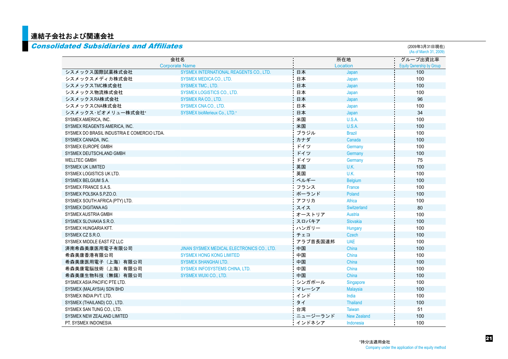## <mark></mark> 連結子会社および関連会社

|                                             | 会社名                                        |          | 所在地                | グループ出資比率                         |
|---------------------------------------------|--------------------------------------------|----------|--------------------|----------------------------------|
|                                             | <b>Corporate Name</b>                      |          | Location           | <b>Equity Qwnership by Group</b> |
| シスメックス国際試薬株式会社                              | SYSMEX INTERNATIONAL REAGENTS CO., LTD.    | 日本       | Japan              | 100                              |
| シスメックスメディカ株式会社                              | SYSMEX MEDICA CO., LTD.                    | 日本       | Japan              | 100                              |
| シスメックスTMC株式会社                               | <b>SYSMEX TMC., LTD.</b>                   | 日本       | Japan              | 100                              |
| シスメックス物流株式会社                                | <b>SYSMEX LOGISTICS CO., LTD.</b>          | 日本       | Japan              | 100                              |
| シスメックスRA株式会社                                | <b>SYSMEX RA CO., LTD.</b>                 | 日本       | Japan              | 96                               |
| シスメックスCNA株式会社                               | <b>SYSMEX CNA CO., LTD.</b>                | 日本       | Japan              | 100                              |
| シスメックス·ビオメリュー株式会社*                          | SYSMEX bioMerieux Co., LTD.*               | 日本       | Japan              | 34                               |
| SYSMEX AMERICA, INC.                        |                                            | 米国       | U.S.A.             | 100                              |
| SYSMEX REAGENTS AMERICA, INC.               |                                            | 米国       | U.S.A.             | 100                              |
| SYSMEX DO BRASIL INDUSTRIA E COMERCIO LTDA. |                                            | ブラジル     | <b>Brazil</b>      | 100                              |
| SYSMEX CANADA, INC.                         |                                            | カナダ      | Canada             | 100                              |
| SYSMEX EUROPE GMBH                          |                                            | ドイツ      | Germany            | 100                              |
| SYSMEX DEUTSCHLAND GMBH                     |                                            | ドイツ      | Germany            | 100                              |
| <b>WELLTEC GMBH</b>                         |                                            | ドイツ      | Germany            | 75                               |
| <b>SYSMEX UK LIMITED</b>                    |                                            | 英国       | U.K.               | 100                              |
| SYSMEX LOGISTICS UK LTD.                    |                                            | 英国       | U.K.               | 100                              |
| SYSMEX BELGIUM S.A.                         |                                            | ベルギー     | <b>Belgium</b>     | 100                              |
| SYSMEX FRANCE S.A.S.                        |                                            | フランス     | France             | 100                              |
| SYSMEX POLSKA S.P.ZO.O.                     |                                            | ポーランド    | Poland             | 100                              |
| SYSMEX SOUTH AFRICA (PTY) LTD.              |                                            | アフリカ     | Africa             | 100                              |
| SYSMEX DIGITANA AG                          |                                            | スイス      | Switzerland        | 80                               |
| SYSMEX AUSTRIA GMBH                         |                                            | オーストリア   | Austria            | 100                              |
| SYSMEX SLOVAKIA S.R.O.                      |                                            | スロバキア    | <b>Slovakia</b>    | 100                              |
| SYSMEX HUNGARIA KFT.                        |                                            | ハンガリー    | Hungary            | 100                              |
| SYSMEX CZ S.R.O.                            |                                            | チェコ      | Czech              | 100                              |
| SYSMEX MIDDLE EAST FZ LLC                   |                                            | アラブ首長国連邦 | <b>UAE</b>         | 100                              |
| 済南希森美康医用電子有限公司                              | JINAN SYSMEX MEDICAL ELECTRONICS CO., LTD. | 中国       | China              | 100                              |
| 希森美康香港有限公司                                  | <b>SYSMEX HONG KONG LIMITED</b>            | 中国       | China              | 100                              |
| 希森美康医用電子(上海)有限公司                            | <b>SYSMEX SHANGHAI LTD.</b>                | 中国       | China              | 100                              |
| 希森美康電脳技術(上海)有限公司                            | SYSMEX INFOSYSTEMS CHINA, LTD.             | 中国       | China              | 100                              |
| 希森美康生物科技(無錫)有限公司                            | <b>SYSMEX WUXI CO., LTD.</b>               | 中国       | China              | 100                              |
| SYSMEX ASIA PACIFIC PTE LTD.                |                                            | シンガポール   | Singapore          | 100                              |
| SYSMEX (MALAYSIA) SDN BHD                   |                                            | マレーシア    | <b>Malaysia</b>    | 100                              |
| SYSMEX INDIA PVT. LTD.                      |                                            | インド      | India              | 100                              |
| SYSMEX (THAILAND) CO., LTD.                 |                                            | タイ       | <b>Thailand</b>    | 100                              |
| SYSMEX SAN TUNG CO., LTD.                   |                                            | 台湾       | <b>Taiwan</b>      | 51                               |
| SYSMEX NEW ZEALAND LIMITED                  |                                            | ニュージーランド | <b>New Zealand</b> | 100                              |
| PT. SYSMEX INDONESIA                        |                                            | インドネシア   | Indonesia          | 100                              |